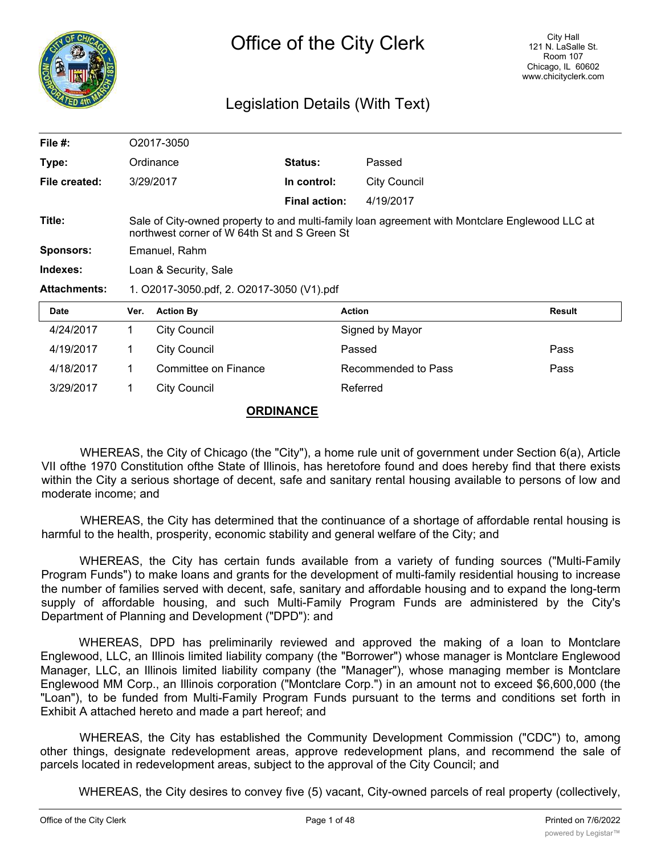

## Legislation Details (With Text)

| File $#$ :          |                                                                                                                                                | O2017-3050           |                      |                     |               |
|---------------------|------------------------------------------------------------------------------------------------------------------------------------------------|----------------------|----------------------|---------------------|---------------|
| Type:               |                                                                                                                                                | Ordinance            | <b>Status:</b>       | Passed              |               |
| File created:       |                                                                                                                                                | 3/29/2017            | In control:          | <b>City Council</b> |               |
|                     |                                                                                                                                                |                      | <b>Final action:</b> | 4/19/2017           |               |
| Title:              | Sale of City-owned property to and multi-family loan agreement with Montclare Englewood LLC at<br>northwest corner of W 64th St and S Green St |                      |                      |                     |               |
| <b>Sponsors:</b>    | Emanuel, Rahm                                                                                                                                  |                      |                      |                     |               |
| Indexes:            | Loan & Security, Sale                                                                                                                          |                      |                      |                     |               |
| <b>Attachments:</b> | 1. O2017-3050.pdf, 2. O2017-3050 (V1).pdf                                                                                                      |                      |                      |                     |               |
| <b>Date</b>         | Ver.                                                                                                                                           | <b>Action By</b>     |                      | <b>Action</b>       | <b>Result</b> |
| 4/24/2017           | 1.                                                                                                                                             | <b>City Council</b>  |                      | Signed by Mayor     |               |
| 4/19/2017           | 1                                                                                                                                              | <b>City Council</b>  |                      | Passed              | Pass          |
| 4/18/2017           | 1                                                                                                                                              | Committee on Finance |                      | Recommended to Pass | Pass          |
| 3/29/2017           | $\mathbf 1$                                                                                                                                    | <b>City Council</b>  |                      | Referred            |               |

## **ORDINANCE**

WHEREAS, the City of Chicago (the "City"), a home rule unit of government under Section 6(a), Article VII ofthe 1970 Constitution ofthe State of Illinois, has heretofore found and does hereby find that there exists within the City a serious shortage of decent, safe and sanitary rental housing available to persons of low and moderate income; and

WHEREAS, the City has determined that the continuance of a shortage of affordable rental housing is harmful to the health, prosperity, economic stability and general welfare of the City; and

WHEREAS, the City has certain funds available from a variety of funding sources ("Multi-Family Program Funds") to make loans and grants for the development of multi-family residential housing to increase the number of families served with decent, safe, sanitary and affordable housing and to expand the long-term supply of affordable housing, and such Multi-Family Program Funds are administered by the City's Department of Planning and Development ("DPD"): and

WHEREAS, DPD has preliminarily reviewed and approved the making of a loan to Montclare Englewood, LLC, an Illinois limited liability company (the "Borrower") whose manager is Montclare Englewood Manager, LLC, an Illinois limited liability company (the "Manager"), whose managing member is Montclare Englewood MM Corp., an Illinois corporation ("Montclare Corp.") in an amount not to exceed \$6,600,000 (the "Loan"), to be funded from Multi-Family Program Funds pursuant to the terms and conditions set forth in Exhibit A attached hereto and made a part hereof; and

WHEREAS, the City has established the Community Development Commission ("CDC") to, among other things, designate redevelopment areas, approve redevelopment plans, and recommend the sale of parcels located in redevelopment areas, subject to the approval of the City Council; and

WHEREAS, the City desires to convey five (5) vacant, City-owned parcels of real property (collectively,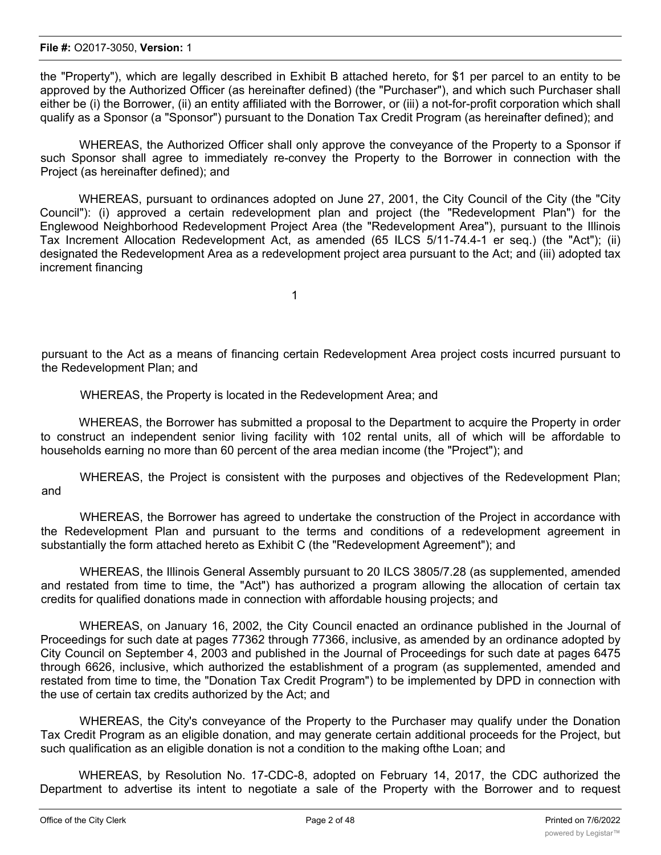the "Property"), which are legally described in Exhibit B attached hereto, for \$1 per parcel to an entity to be approved by the Authorized Officer (as hereinafter defined) (the "Purchaser"), and which such Purchaser shall either be (i) the Borrower, (ii) an entity affiliated with the Borrower, or (iii) a not-for-profit corporation which shall qualify as a Sponsor (a "Sponsor") pursuant to the Donation Tax Credit Program (as hereinafter defined); and

WHEREAS, the Authorized Officer shall only approve the conveyance of the Property to a Sponsor if such Sponsor shall agree to immediately re-convey the Property to the Borrower in connection with the Project (as hereinafter defined); and

WHEREAS, pursuant to ordinances adopted on June 27, 2001, the City Council of the City (the "City Council"): (i) approved a certain redevelopment plan and project (the "Redevelopment Plan") for the Englewood Neighborhood Redevelopment Project Area (the "Redevelopment Area"), pursuant to the Illinois Tax Increment Allocation Redevelopment Act, as amended (65 ILCS 5/11-74.4-1 er seq.) (the "Act"); (ii) designated the Redevelopment Area as a redevelopment project area pursuant to the Act; and (iii) adopted tax increment financing

1

pursuant to the Act as a means of financing certain Redevelopment Area project costs incurred pursuant to the Redevelopment Plan; and

WHEREAS, the Property is located in the Redevelopment Area; and

WHEREAS, the Borrower has submitted a proposal to the Department to acquire the Property in order to construct an independent senior living facility with 102 rental units, all of which will be affordable to households earning no more than 60 percent of the area median income (the "Project"); and

WHEREAS, the Project is consistent with the purposes and objectives of the Redevelopment Plan; and

WHEREAS, the Borrower has agreed to undertake the construction of the Project in accordance with the Redevelopment Plan and pursuant to the terms and conditions of a redevelopment agreement in substantially the form attached hereto as Exhibit C (the "Redevelopment Agreement"); and

WHEREAS, the Illinois General Assembly pursuant to 20 ILCS 3805/7.28 (as supplemented, amended and restated from time to time, the "Act") has authorized a program allowing the allocation of certain tax credits for qualified donations made in connection with affordable housing projects; and

WHEREAS, on January 16, 2002, the City Council enacted an ordinance published in the Journal of Proceedings for such date at pages 77362 through 77366, inclusive, as amended by an ordinance adopted by City Council on September 4, 2003 and published in the Journal of Proceedings for such date at pages 6475 through 6626, inclusive, which authorized the establishment of a program (as supplemented, amended and restated from time to time, the "Donation Tax Credit Program") to be implemented by DPD in connection with the use of certain tax credits authorized by the Act; and

WHEREAS, the City's conveyance of the Property to the Purchaser may qualify under the Donation Tax Credit Program as an eligible donation, and may generate certain additional proceeds for the Project, but such qualification as an eligible donation is not a condition to the making ofthe Loan; and

WHEREAS, by Resolution No. 17-CDC-8, adopted on February 14, 2017, the CDC authorized the Department to advertise its intent to negotiate a sale of the Property with the Borrower and to request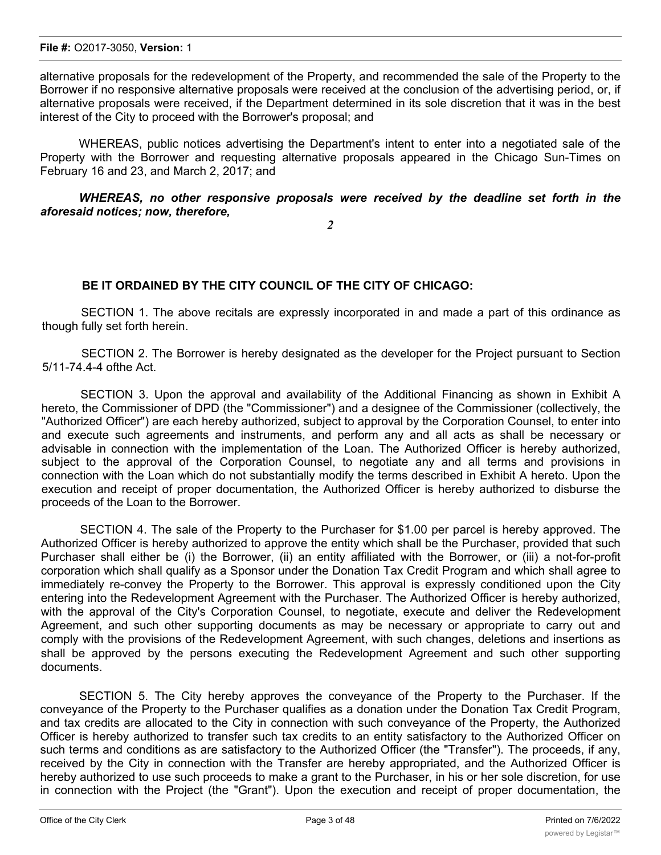alternative proposals for the redevelopment of the Property, and recommended the sale of the Property to the Borrower if no responsive alternative proposals were received at the conclusion of the advertising period, or, if alternative proposals were received, if the Department determined in its sole discretion that it was in the best interest of the City to proceed with the Borrower's proposal; and

WHEREAS, public notices advertising the Department's intent to enter into a negotiated sale of the Property with the Borrower and requesting alternative proposals appeared in the Chicago Sun-Times on February 16 and 23, and March 2, 2017; and

*WHEREAS, no other responsive proposals were received by the deadline set forth in the aforesaid notices; now, therefore,*

*2*

## **BE IT ORDAINED BY THE CITY COUNCIL OF THE CITY OF CHICAGO:**

SECTION 1. The above recitals are expressly incorporated in and made a part of this ordinance as though fully set forth herein.

SECTION 2. The Borrower is hereby designated as the developer for the Project pursuant to Section 5/11-74.4-4 ofthe Act.

SECTION 3. Upon the approval and availability of the Additional Financing as shown in Exhibit A hereto, the Commissioner of DPD (the "Commissioner") and a designee of the Commissioner (collectively, the "Authorized Officer") are each hereby authorized, subject to approval by the Corporation Counsel, to enter into and execute such agreements and instruments, and perform any and all acts as shall be necessary or advisable in connection with the implementation of the Loan. The Authorized Officer is hereby authorized, subject to the approval of the Corporation Counsel, to negotiate any and all terms and provisions in connection with the Loan which do not substantially modify the terms described in Exhibit A hereto. Upon the execution and receipt of proper documentation, the Authorized Officer is hereby authorized to disburse the proceeds of the Loan to the Borrower.

SECTION 4. The sale of the Property to the Purchaser for \$1.00 per parcel is hereby approved. The Authorized Officer is hereby authorized to approve the entity which shall be the Purchaser, provided that such Purchaser shall either be (i) the Borrower, (ii) an entity affiliated with the Borrower, or (iii) a not-for-profit corporation which shall qualify as a Sponsor under the Donation Tax Credit Program and which shall agree to immediately re-convey the Property to the Borrower. This approval is expressly conditioned upon the City entering into the Redevelopment Agreement with the Purchaser. The Authorized Officer is hereby authorized, with the approval of the City's Corporation Counsel, to negotiate, execute and deliver the Redevelopment Agreement, and such other supporting documents as may be necessary or appropriate to carry out and comply with the provisions of the Redevelopment Agreement, with such changes, deletions and insertions as shall be approved by the persons executing the Redevelopment Agreement and such other supporting documents.

SECTION 5. The City hereby approves the conveyance of the Property to the Purchaser. If the conveyance of the Property to the Purchaser qualifies as a donation under the Donation Tax Credit Program, and tax credits are allocated to the City in connection with such conveyance of the Property, the Authorized Officer is hereby authorized to transfer such tax credits to an entity satisfactory to the Authorized Officer on such terms and conditions as are satisfactory to the Authorized Officer (the "Transfer"). The proceeds, if any, received by the City in connection with the Transfer are hereby appropriated, and the Authorized Officer is hereby authorized to use such proceeds to make a grant to the Purchaser, in his or her sole discretion, for use in connection with the Project (the "Grant"). Upon the execution and receipt of proper documentation, the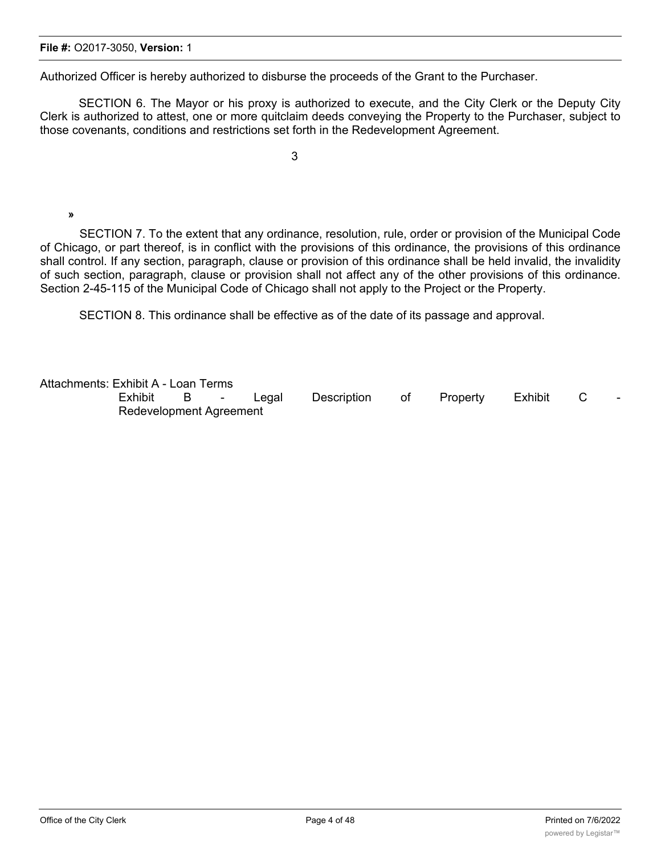Authorized Officer is hereby authorized to disburse the proceeds of the Grant to the Purchaser.

SECTION 6. The Mayor or his proxy is authorized to execute, and the City Clerk or the Deputy City Clerk is authorized to attest, one or more quitclaim deeds conveying the Property to the Purchaser, subject to those covenants, conditions and restrictions set forth in the Redevelopment Agreement.

3

## **»**

SECTION 7. To the extent that any ordinance, resolution, rule, order or provision of the Municipal Code of Chicago, or part thereof, is in conflict with the provisions of this ordinance, the provisions of this ordinance shall control. If any section, paragraph, clause or provision of this ordinance shall be held invalid, the invalidity of such section, paragraph, clause or provision shall not affect any of the other provisions of this ordinance. Section 2-45-115 of the Municipal Code of Chicago shall not apply to the Project or the Property.

SECTION 8. This ordinance shall be effective as of the date of its passage and approval.

Attachments: Exhibit A - Loan Terms

Exhibit B - Legal Description of Property Exhibit C Redevelopment Agreement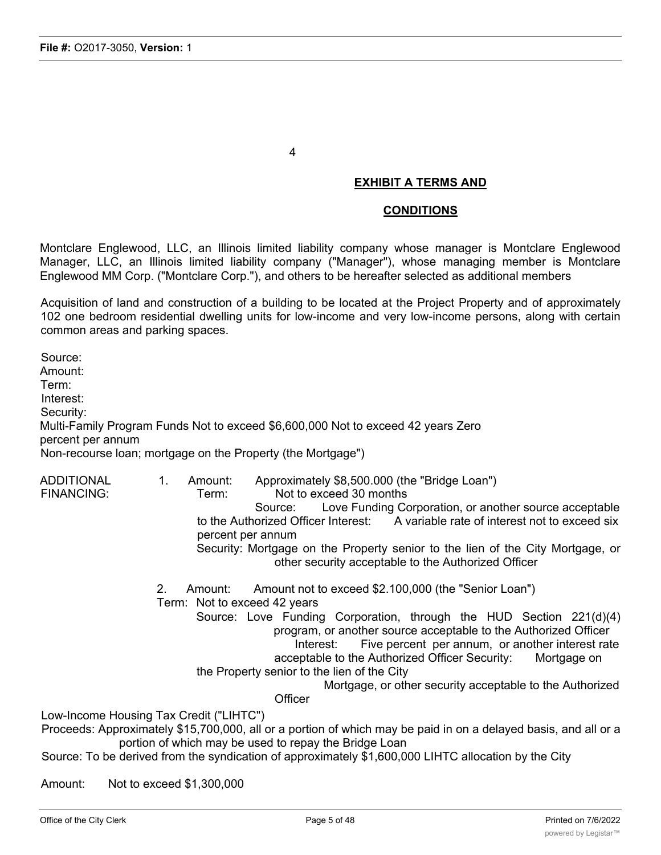4

## **EXHIBIT A TERMS AND**

### **CONDITIONS**

Montclare Englewood, LLC, an Illinois limited liability company whose manager is Montclare Englewood Manager, LLC, an Illinois limited liability company ("Manager"), whose managing member is Montclare Englewood MM Corp. ("Montclare Corp."), and others to be hereafter selected as additional members

Acquisition of land and construction of a building to be located at the Project Property and of approximately 102 one bedroom residential dwelling units for low-income and very low-income persons, along with certain common areas and parking spaces.

Source: Amount: Term: Interest: Security: Multi-Family Program Funds Not to exceed \$6,600,000 Not to exceed 42 years Zero percent per annum Non-recourse loan; mortgage on the Property (the Mortgage")

ADDITIONAL 1. Amount: Approximately \$8,500.000 (the "Bridge Loan") FINANCING: Term: Not to exceed 30 months Source: Love Funding Corporation, or another source acceptable to the Authorized Officer Interest: A variable rate of interest not to exceed six percent per annum Security: Mortgage on the Property senior to the lien of the City Mortgage, or other security acceptable to the Authorized Officer 2. Amount: Amount not to exceed \$2.100,000 (the "Senior Loan") Term: Not to exceed 42 years Source: Love Funding Corporation, through the HUD Section 221(d)(4) program, or another source acceptable to the Authorized Officer Interest: Five percent per annum, or another interest rate acceptable to the Authorized Officer Security: Mortgage on the Property senior to the lien of the City Mortgage, or other security acceptable to the Authorized **Officer** Low-Income Housing Tax Credit ("LIHTC") Proceeds: Approximately \$15,700,000, all or a portion of which may be paid in on a delayed basis, and all or a portion of which may be used to repay the Bridge Loan Source: To be derived from the syndication of approximately \$1,600,000 LIHTC allocation by the City

Amount: Not to exceed \$1,300,000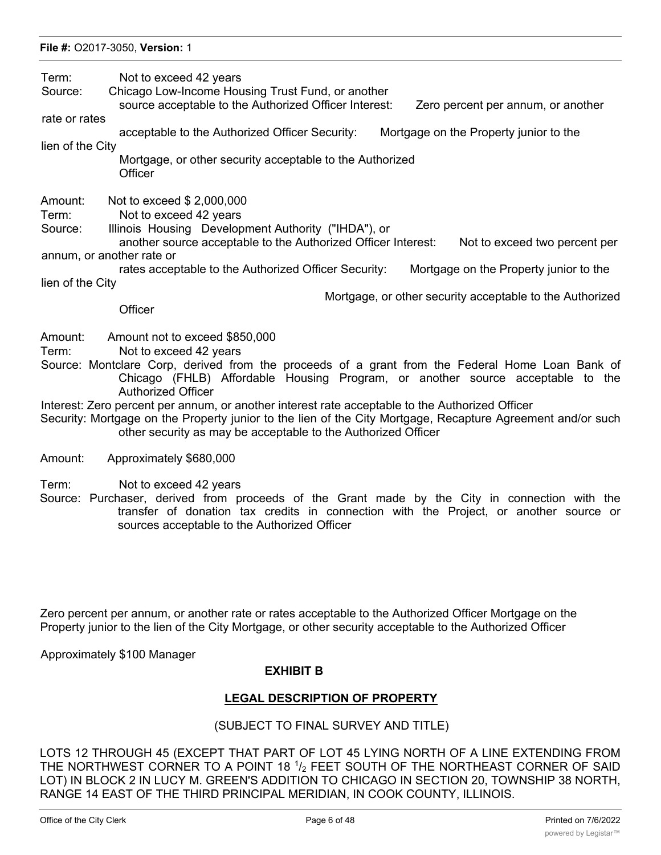Term: Not to exceed 42 years

Source: Chicago Low-Income Housing Trust Fund, or another

source acceptable to the Authorized Officer Interest: Zero percent per annum, or another

rate or rates

acceptable to the Authorized Officer Security: Mortgage on the Property junior to the

lien of the City

Mortgage, or other security acceptable to the Authorized **Officer** 

Amount: Not to exceed \$ 2,000,000

Term: Not to exceed 42 years

Source: Illinois Housing Development Authority ("IHDA"), or

another source acceptable to the Authorized Officer Interest: Not to exceed two percent per annum, or another rate or

rates acceptable to the Authorized Officer Security: Mortgage on the Property junior to the lien of the City

Mortgage, or other security acceptable to the Authorized

**Officer** 

- Amount: Amount not to exceed \$850,000
- Term: Not to exceed 42 years
- Source: Montclare Corp, derived from the proceeds of a grant from the Federal Home Loan Bank of Chicago (FHLB) Affordable Housing Program, or another source acceptable to the Authorized Officer
- Interest: Zero percent per annum, or another interest rate acceptable to the Authorized Officer
- Security: Mortgage on the Property junior to the lien of the City Mortgage, Recapture Agreement and/or such other security as may be acceptable to the Authorized Officer
- Amount: Approximately \$680,000
- Term: Not to exceed 42 years
- Source: Purchaser, derived from proceeds of the Grant made by the City in connection with the transfer of donation tax credits in connection with the Project, or another source or sources acceptable to the Authorized Officer

Zero percent per annum, or another rate or rates acceptable to the Authorized Officer Mortgage on the Property junior to the lien of the City Mortgage, or other security acceptable to the Authorized Officer

Approximately \$100 Manager

## **EXHIBIT B**

## **LEGAL DESCRIPTION OF PROPERTY**

## (SUBJECT TO FINAL SURVEY AND TITLE)

LOTS 12 THROUGH 45 (EXCEPT THAT PART OF LOT 45 LYING NORTH OF A LINE EXTENDING FROM THE NORTHWEST CORNER TO A POINT 18 1/2 FEET SOUTH OF THE NORTHEAST CORNER OF SAID LOT) IN BLOCK 2 IN LUCY M. GREEN'S ADDITION TO CHICAGO IN SECTION 20, TOWNSHIP 38 NORTH, RANGE 14 EAST OF THE THIRD PRINCIPAL MERIDIAN, IN COOK COUNTY, ILLINOIS.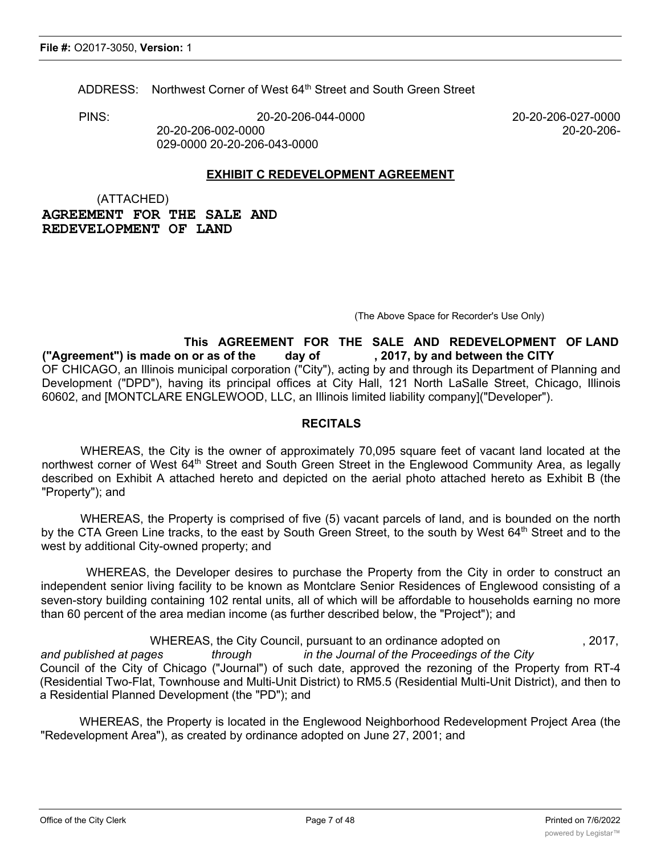ADDRESS: Northwest Corner of West 64<sup>th</sup> Street and South Green Street

PINS: 20-20-206-044-0000 20-20-206-027-0000

20-20-206-002-0000 20-20-206-

029-0000 20-20-206-043-0000

## **EXHIBIT C REDEVELOPMENT AGREEMENT**

(ATTACHED) **AGREEMENT FOR THE SALE AND REDEVELOPMENT OF LAND**

(The Above Space for Recorder's Use Only)

**This AGREEMENT FOR THE SALE AND REDEVELOPMENT OF LAND ("Agreement") is made on or as of the day of , 2017, by and between the CITY** OF CHICAGO, an Illinois municipal corporation ("City"), acting by and through its Department of Planning and Development ("DPD"), having its principal offices at City Hall, 121 North LaSalle Street, Chicago, Illinois 60602, and [MONTCLARE ENGLEWOOD, LLC, an Illinois limited liability company]("Developer").

## **RECITALS**

WHEREAS, the City is the owner of approximately 70,095 square feet of vacant land located at the northwest corner of West 64<sup>th</sup> Street and South Green Street in the Englewood Community Area, as legally described on Exhibit A attached hereto and depicted on the aerial photo attached hereto as Exhibit B (the "Property"); and

WHEREAS, the Property is comprised of five (5) vacant parcels of land, and is bounded on the north by the CTA Green Line tracks, to the east by South Green Street, to the south by West 64<sup>th</sup> Street and to the west by additional City-owned property; and

WHEREAS, the Developer desires to purchase the Property from the City in order to construct an independent senior living facility to be known as Montclare Senior Residences of Englewood consisting of a seven-story building containing 102 rental units, all of which will be affordable to households earning no more than 60 percent of the area median income (as further described below, the "Project"); and

WHEREAS, the City Council, pursuant to an ordinance adopted on , 2017,

*and published at pages through in the Journal of the Proceedings of the City* Council of the City of Chicago ("Journal") of such date, approved the rezoning of the Property from RT-4 (Residential Two-Flat, Townhouse and Multi-Unit District) to RM5.5 (Residential Multi-Unit District), and then to a Residential Planned Development (the "PD"); and

WHEREAS, the Property is located in the Englewood Neighborhood Redevelopment Project Area (the "Redevelopment Area"), as created by ordinance adopted on June 27, 2001; and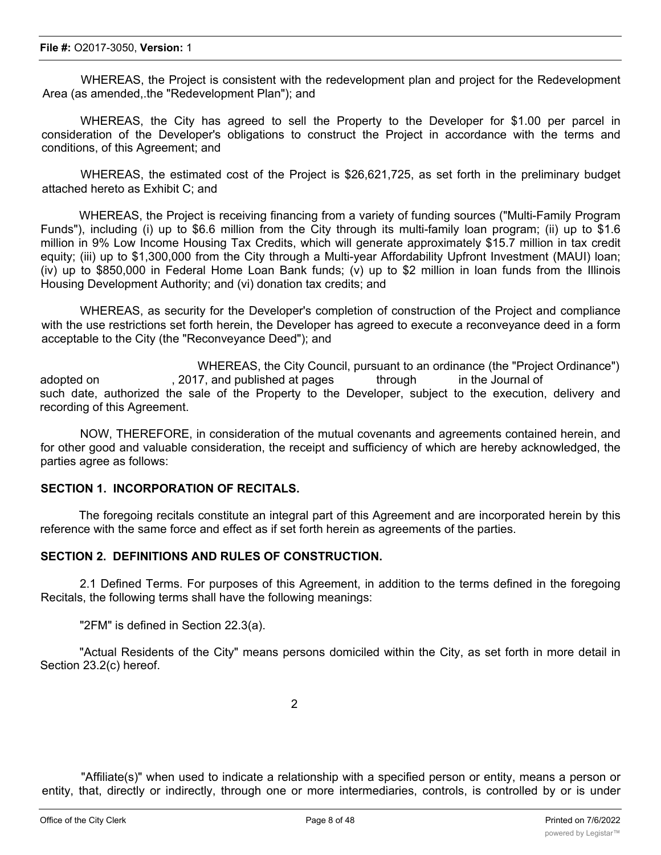#### **File #:** O2017-3050, **Version:** 1

WHEREAS, the Project is consistent with the redevelopment plan and project for the Redevelopment Area (as amended,.the "Redevelopment Plan"); and

WHEREAS, the City has agreed to sell the Property to the Developer for \$1.00 per parcel in consideration of the Developer's obligations to construct the Project in accordance with the terms and conditions, of this Agreement; and

WHEREAS, the estimated cost of the Project is \$26,621,725, as set forth in the preliminary budget attached hereto as Exhibit C; and

WHEREAS, the Project is receiving financing from a variety of funding sources ("Multi-Family Program Funds"), including (i) up to \$6.6 million from the City through its multi-family loan program; (ii) up to \$1.6 million in 9% Low Income Housing Tax Credits, which will generate approximately \$15.7 million in tax credit equity; (iii) up to \$1,300,000 from the City through a Multi-year Affordability Upfront Investment (MAUI) loan; (iv) up to \$850,000 in Federal Home Loan Bank funds; (v) up to \$2 million in loan funds from the Illinois Housing Development Authority; and (vi) donation tax credits; and

WHEREAS, as security for the Developer's completion of construction of the Project and compliance with the use restrictions set forth herein, the Developer has agreed to execute a reconveyance deed in a form acceptable to the City (the "Reconveyance Deed"); and

WHEREAS, the City Council, pursuant to an ordinance (the "Project Ordinance") adopted on **the substitute 1.2017**, and published at pages through in the Journal of such date, authorized the sale of the Property to the Developer, subject to the execution, delivery and recording of this Agreement.

NOW, THEREFORE, in consideration of the mutual covenants and agreements contained herein, and for other good and valuable consideration, the receipt and sufficiency of which are hereby acknowledged, the parties agree as follows:

### **SECTION 1. INCORPORATION OF RECITALS.**

The foregoing recitals constitute an integral part of this Agreement and are incorporated herein by this reference with the same force and effect as if set forth herein as agreements of the parties.

## **SECTION 2. DEFINITIONS AND RULES OF CONSTRUCTION.**

2.1 Defined Terms. For purposes of this Agreement, in addition to the terms defined in the foregoing Recitals, the following terms shall have the following meanings:

"2FM" is defined in Section 22.3(a).

"Actual Residents of the City" means persons domiciled within the City, as set forth in more detail in Section 23.2(c) hereof.

"Affiliate(s)" when used to indicate a relationship with a specified person or entity, means a person or entity, that, directly or indirectly, through one or more intermediaries, controls, is controlled by or is under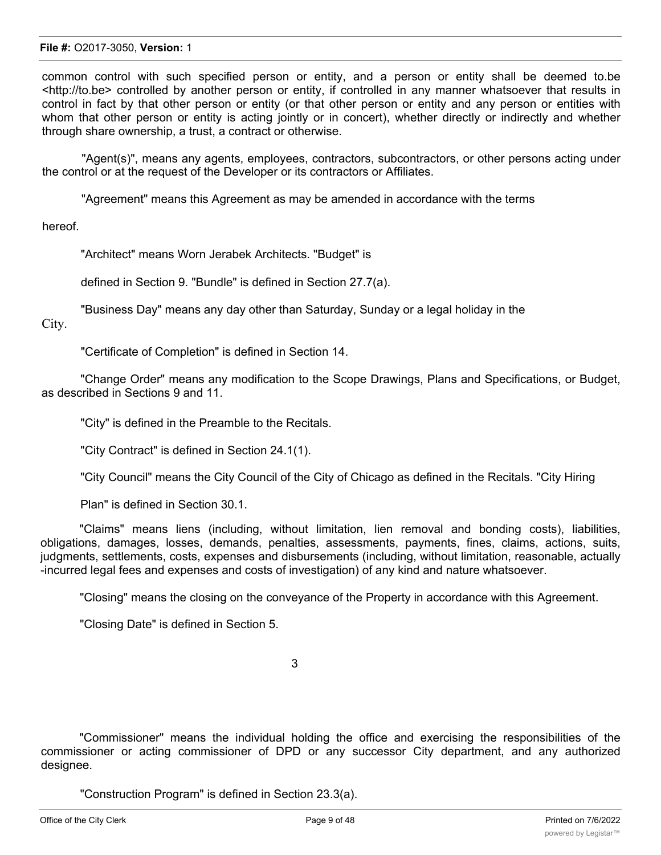common control with such specified person or entity, and a person or entity shall be deemed to.be <http://to.be> controlled by another person or entity, if controlled in any manner whatsoever that results in control in fact by that other person or entity (or that other person or entity and any person or entities with whom that other person or entity is acting jointly or in concert), whether directly or indirectly and whether through share ownership, a trust, a contract or otherwise.

"Agent(s)", means any agents, employees, contractors, subcontractors, or other persons acting under the control or at the request of the Developer or its contractors or Affiliates.

"Agreement" means this Agreement as may be amended in accordance with the terms

hereof.

"Architect" means Worn Jerabek Architects. "Budget" is

defined in Section 9. "Bundle" is defined in Section 27.7(a).

"Business Day" means any day other than Saturday, Sunday or a legal holiday in the

City.

"Certificate of Completion" is defined in Section 14.

"Change Order" means any modification to the Scope Drawings, Plans and Specifications, or Budget, as described in Sections 9 and 11.

"City" is defined in the Preamble to the Recitals.

"City Contract" is defined in Section 24.1(1).

"City Council" means the City Council of the City of Chicago as defined in the Recitals. "City Hiring

Plan" is defined in Section 30.1.

"Claims" means liens (including, without limitation, lien removal and bonding costs), liabilities, obligations, damages, losses, demands, penalties, assessments, payments, fines, claims, actions, suits, judgments, settlements, costs, expenses and disbursements (including, without limitation, reasonable, actually -incurred legal fees and expenses and costs of investigation) of any kind and nature whatsoever.

"Closing" means the closing on the conveyance of the Property in accordance with this Agreement.

"Closing Date" is defined in Section 5.

3

"Commissioner" means the individual holding the office and exercising the responsibilities of the commissioner or acting commissioner of DPD or any successor City department, and any authorized designee.

"Construction Program" is defined in Section 23.3(a).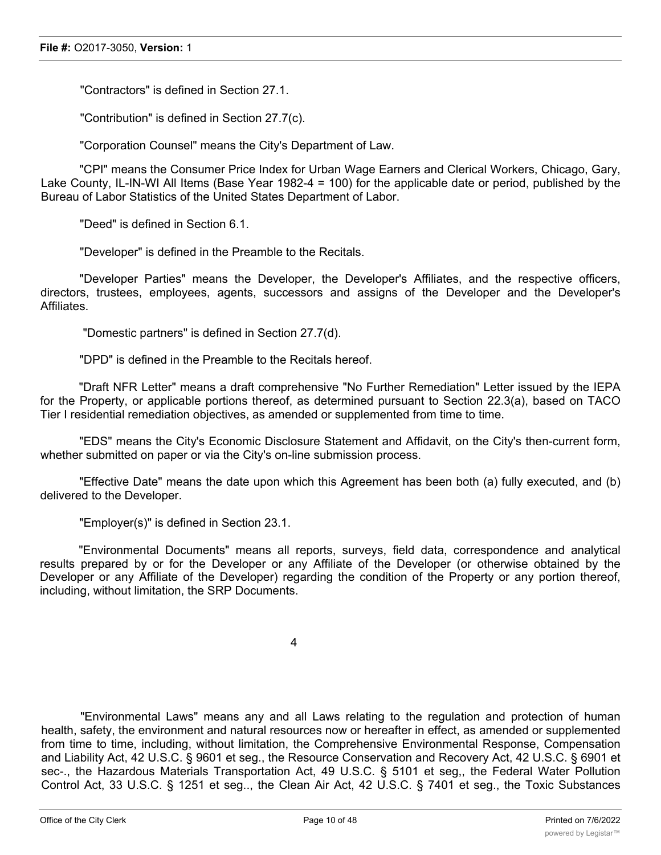"Contractors" is defined in Section 27.1.

"Contribution" is defined in Section 27.7(c).

"Corporation Counsel" means the City's Department of Law.

"CPI" means the Consumer Price Index for Urban Wage Earners and Clerical Workers, Chicago, Gary, Lake County, IL-IN-WI All Items (Base Year 1982-4 = 100) for the applicable date or period, published by the Bureau of Labor Statistics of the United States Department of Labor.

"Deed" is defined in Section 6.1.

"Developer" is defined in the Preamble to the Recitals.

"Developer Parties" means the Developer, the Developer's Affiliates, and the respective officers, directors, trustees, employees, agents, successors and assigns of the Developer and the Developer's **Affiliates** 

"Domestic partners" is defined in Section 27.7(d).

"DPD" is defined in the Preamble to the Recitals hereof.

"Draft NFR Letter" means a draft comprehensive "No Further Remediation" Letter issued by the IEPA for the Property, or applicable portions thereof, as determined pursuant to Section 22.3(a), based on TACO Tier I residential remediation objectives, as amended or supplemented from time to time.

"EDS" means the City's Economic Disclosure Statement and Affidavit, on the City's then-current form, whether submitted on paper or via the City's on-line submission process.

"Effective Date" means the date upon which this Agreement has been both (a) fully executed, and (b) delivered to the Developer.

"Employer(s)" is defined in Section 23.1.

"Environmental Documents" means all reports, surveys, field data, correspondence and analytical results prepared by or for the Developer or any Affiliate of the Developer (or otherwise obtained by the Developer or any Affiliate of the Developer) regarding the condition of the Property or any portion thereof, including, without limitation, the SRP Documents.

4

"Environmental Laws" means any and all Laws relating to the regulation and protection of human health, safety, the environment and natural resources now or hereafter in effect, as amended or supplemented from time to time, including, without limitation, the Comprehensive Environmental Response, Compensation and Liability Act, 42 U.S.C. § 9601 et seg., the Resource Conservation and Recovery Act, 42 U.S.C. § 6901 et sec-., the Hazardous Materials Transportation Act, 49 U.S.C. § 5101 et seg,, the Federal Water Pollution Control Act, 33 U.S.C. § 1251 et seg.., the Clean Air Act, 42 U.S.C. § 7401 et seg., the Toxic Substances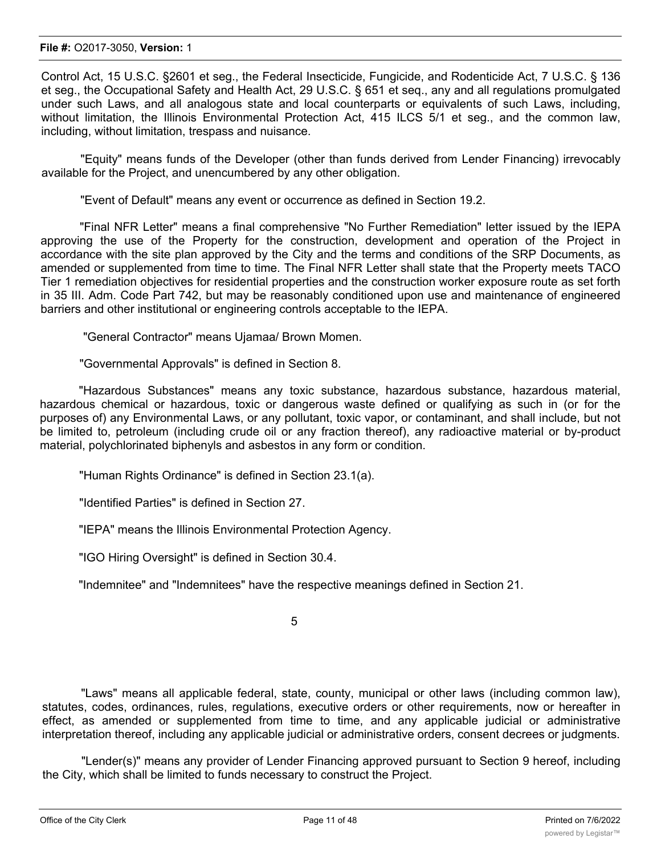Control Act, 15 U.S.C. §2601 et seg., the Federal Insecticide, Fungicide, and Rodenticide Act, 7 U.S.C. § 136 et seg., the Occupational Safety and Health Act, 29 U.S.C. § 651 et seq., any and all regulations promulgated under such Laws, and all analogous state and local counterparts or equivalents of such Laws, including, without limitation, the Illinois Environmental Protection Act, 415 ILCS 5/1 et seg., and the common law, including, without limitation, trespass and nuisance.

"Equity" means funds of the Developer (other than funds derived from Lender Financing) irrevocably available for the Project, and unencumbered by any other obligation.

"Event of Default" means any event or occurrence as defined in Section 19.2.

"Final NFR Letter" means a final comprehensive "No Further Remediation" letter issued by the IEPA approving the use of the Property for the construction, development and operation of the Project in accordance with the site plan approved by the City and the terms and conditions of the SRP Documents, as amended or supplemented from time to time. The Final NFR Letter shall state that the Property meets TACO Tier 1 remediation objectives for residential properties and the construction worker exposure route as set forth in 35 III. Adm. Code Part 742, but may be reasonably conditioned upon use and maintenance of engineered barriers and other institutional or engineering controls acceptable to the IEPA.

"General Contractor" means Ujamaa/ Brown Momen.

"Governmental Approvals" is defined in Section 8.

"Hazardous Substances" means any toxic substance, hazardous substance, hazardous material, hazardous chemical or hazardous, toxic or dangerous waste defined or qualifying as such in (or for the purposes of) any Environmental Laws, or any pollutant, toxic vapor, or contaminant, and shall include, but not be limited to, petroleum (including crude oil or any fraction thereof), any radioactive material or by-product material, polychlorinated biphenyls and asbestos in any form or condition.

"Human Rights Ordinance" is defined in Section 23.1(a).

"Identified Parties" is defined in Section 27.

"IEPA" means the Illinois Environmental Protection Agency.

"IGO Hiring Oversight" is defined in Section 30.4.

"Indemnitee" and "Indemnitees" have the respective meanings defined in Section 21.

5

"Laws" means all applicable federal, state, county, municipal or other laws (including common law), statutes, codes, ordinances, rules, regulations, executive orders or other requirements, now or hereafter in effect, as amended or supplemented from time to time, and any applicable judicial or administrative interpretation thereof, including any applicable judicial or administrative orders, consent decrees or judgments.

"Lender(s)" means any provider of Lender Financing approved pursuant to Section 9 hereof, including the City, which shall be limited to funds necessary to construct the Project.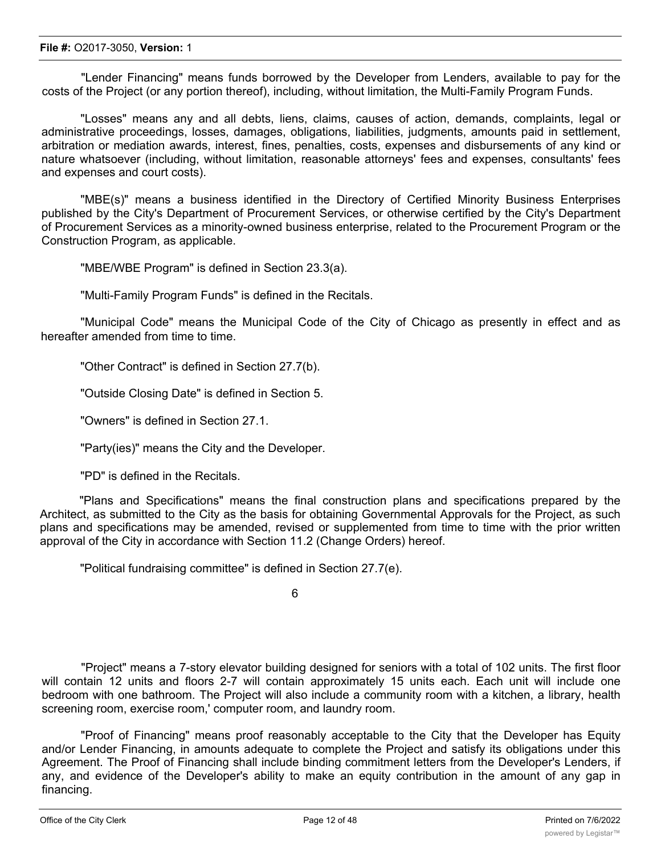#### **File #:** O2017-3050, **Version:** 1

"Lender Financing" means funds borrowed by the Developer from Lenders, available to pay for the costs of the Project (or any portion thereof), including, without limitation, the Multi-Family Program Funds.

"Losses" means any and all debts, liens, claims, causes of action, demands, complaints, legal or administrative proceedings, losses, damages, obligations, liabilities, judgments, amounts paid in settlement, arbitration or mediation awards, interest, fines, penalties, costs, expenses and disbursements of any kind or nature whatsoever (including, without limitation, reasonable attorneys' fees and expenses, consultants' fees and expenses and court costs).

"MBE(s)" means a business identified in the Directory of Certified Minority Business Enterprises published by the City's Department of Procurement Services, or otherwise certified by the City's Department of Procurement Services as a minority-owned business enterprise, related to the Procurement Program or the Construction Program, as applicable.

"MBE/WBE Program" is defined in Section 23.3(a).

"Multi-Family Program Funds" is defined in the Recitals.

"Municipal Code" means the Municipal Code of the City of Chicago as presently in effect and as hereafter amended from time to time.

"Other Contract" is defined in Section 27.7(b).

"Outside Closing Date" is defined in Section 5.

"Owners" is defined in Section 27.1.

"Party(ies)" means the City and the Developer.

"PD" is defined in the Recitals.

"Plans and Specifications" means the final construction plans and specifications prepared by the Architect, as submitted to the City as the basis for obtaining Governmental Approvals for the Project, as such plans and specifications may be amended, revised or supplemented from time to time with the prior written approval of the City in accordance with Section 11.2 (Change Orders) hereof.

"Political fundraising committee" is defined in Section 27.7(e).

6

"Project" means a 7-story elevator building designed for seniors with a total of 102 units. The first floor will contain 12 units and floors 2-7 will contain approximately 15 units each. Each unit will include one bedroom with one bathroom. The Project will also include a community room with a kitchen, a library, health screening room, exercise room,' computer room, and laundry room.

"Proof of Financing" means proof reasonably acceptable to the City that the Developer has Equity and/or Lender Financing, in amounts adequate to complete the Project and satisfy its obligations under this Agreement. The Proof of Financing shall include binding commitment letters from the Developer's Lenders, if any, and evidence of the Developer's ability to make an equity contribution in the amount of any gap in financing.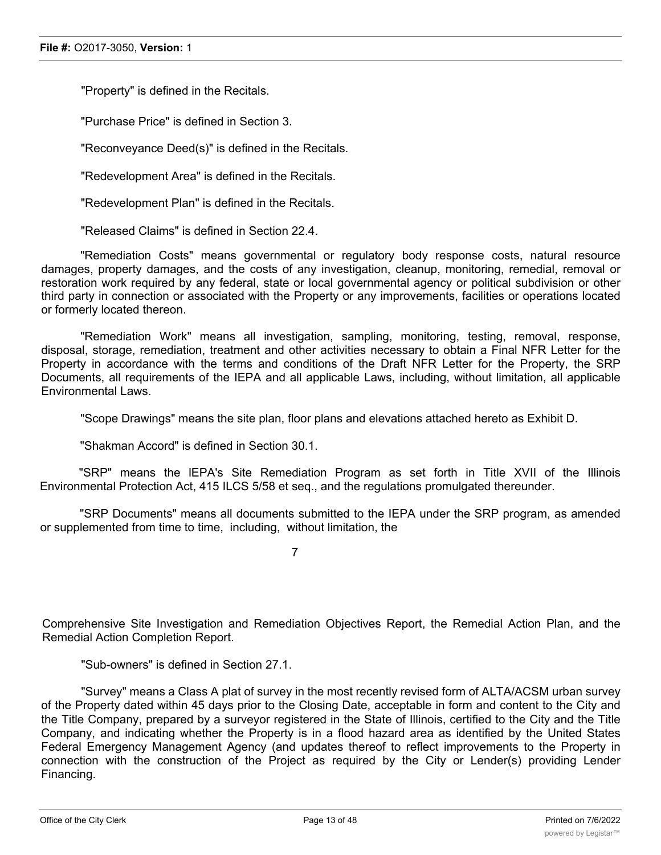"Property" is defined in the Recitals.

"Purchase Price" is defined in Section 3.

"Reconveyance Deed(s)" is defined in the Recitals.

"Redevelopment Area" is defined in the Recitals.

"Redevelopment Plan" is defined in the Recitals.

"Released Claims" is defined in Section 22.4.

"Remediation Costs" means governmental or regulatory body response costs, natural resource damages, property damages, and the costs of any investigation, cleanup, monitoring, remedial, removal or restoration work required by any federal, state or local governmental agency or political subdivision or other third party in connection or associated with the Property or any improvements, facilities or operations located or formerly located thereon.

"Remediation Work" means all investigation, sampling, monitoring, testing, removal, response, disposal, storage, remediation, treatment and other activities necessary to obtain a Final NFR Letter for the Property in accordance with the terms and conditions of the Draft NFR Letter for the Property, the SRP Documents, all requirements of the IEPA and all applicable Laws, including, without limitation, all applicable Environmental Laws.

"Scope Drawings" means the site plan, floor plans and elevations attached hereto as Exhibit D.

"Shakman Accord" is defined in Section 30.1.

"SRP" means the lEPA's Site Remediation Program as set forth in Title XVII of the Illinois Environmental Protection Act, 415 ILCS 5/58 et seq., and the regulations promulgated thereunder.

"SRP Documents" means all documents submitted to the IEPA under the SRP program, as amended or supplemented from time to time, including, without limitation, the

7

Comprehensive Site Investigation and Remediation Objectives Report, the Remedial Action Plan, and the Remedial Action Completion Report.

"Sub-owners" is defined in Section 27.1.

"Survey" means a Class A plat of survey in the most recently revised form of ALTA/ACSM urban survey of the Property dated within 45 days prior to the Closing Date, acceptable in form and content to the City and the Title Company, prepared by a surveyor registered in the State of Illinois, certified to the City and the Title Company, and indicating whether the Property is in a flood hazard area as identified by the United States Federal Emergency Management Agency (and updates thereof to reflect improvements to the Property in connection with the construction of the Project as required by the City or Lender(s) providing Lender Financing.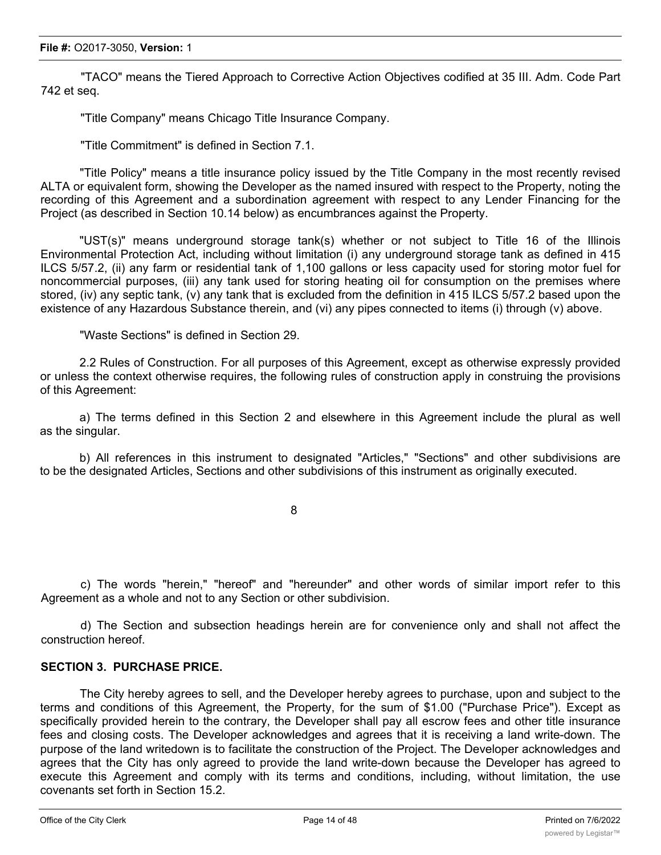"TACO" means the Tiered Approach to Corrective Action Objectives codified at 35 III. Adm. Code Part 742 et seq.

"Title Company" means Chicago Title Insurance Company.

"Title Commitment" is defined in Section 7.1.

"Title Policy" means a title insurance policy issued by the Title Company in the most recently revised ALTA or equivalent form, showing the Developer as the named insured with respect to the Property, noting the recording of this Agreement and a subordination agreement with respect to any Lender Financing for the Project (as described in Section 10.14 below) as encumbrances against the Property.

"UST(s)" means underground storage tank(s) whether or not subject to Title 16 of the Illinois Environmental Protection Act, including without limitation (i) any underground storage tank as defined in 415 ILCS 5/57.2, (ii) any farm or residential tank of 1,100 gallons or less capacity used for storing motor fuel for noncommercial purposes, (iii) any tank used for storing heating oil for consumption on the premises where stored, (iv) any septic tank, (v) any tank that is excluded from the definition in 415 ILCS 5/57.2 based upon the existence of any Hazardous Substance therein, and (vi) any pipes connected to items (i) through (v) above.

"Waste Sections" is defined in Section 29.

2.2 Rules of Construction. For all purposes of this Agreement, except as otherwise expressly provided or unless the context otherwise requires, the following rules of construction apply in construing the provisions of this Agreement:

a) The terms defined in this Section 2 and elsewhere in this Agreement include the plural as well as the singular.

b) All references in this instrument to designated "Articles," "Sections" and other subdivisions are to be the designated Articles, Sections and other subdivisions of this instrument as originally executed.

8

c) The words "herein," "hereof" and "hereunder" and other words of similar import refer to this Agreement as a whole and not to any Section or other subdivision.

d) The Section and subsection headings herein are for convenience only and shall not affect the construction hereof.

## **SECTION 3. PURCHASE PRICE.**

The City hereby agrees to sell, and the Developer hereby agrees to purchase, upon and subject to the terms and conditions of this Agreement, the Property, for the sum of \$1.00 ("Purchase Price"). Except as specifically provided herein to the contrary, the Developer shall pay all escrow fees and other title insurance fees and closing costs. The Developer acknowledges and agrees that it is receiving a land write-down. The purpose of the land writedown is to facilitate the construction of the Project. The Developer acknowledges and agrees that the City has only agreed to provide the land write-down because the Developer has agreed to execute this Agreement and comply with its terms and conditions, including, without limitation, the use covenants set forth in Section 15.2.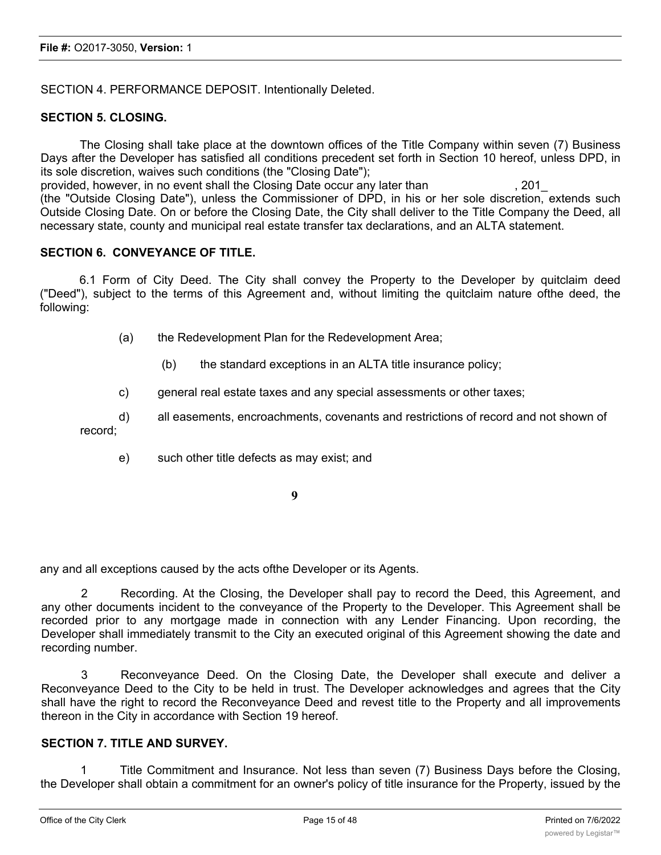SECTION 4. PERFORMANCE DEPOSIT. Intentionally Deleted.

#### **SECTION 5. CLOSING.**

The Closing shall take place at the downtown offices of the Title Company within seven (7) Business Days after the Developer has satisfied all conditions precedent set forth in Section 10 hereof, unless DPD, in its sole discretion, waives such conditions (the "Closing Date");

provided, however, in no event shall the Closing Date occur any later than , 201\_ (the "Outside Closing Date"), unless the Commissioner of DPD, in his or her sole discretion, extends such Outside Closing Date. On or before the Closing Date, the City shall deliver to the Title Company the Deed, all necessary state, county and municipal real estate transfer tax declarations, and an ALTA statement.

#### **SECTION 6. CONVEYANCE OF TITLE.**

6.1 Form of City Deed. The City shall convey the Property to the Developer by quitclaim deed ("Deed"), subject to the terms of this Agreement and, without limiting the quitclaim nature ofthe deed, the following:

(a) the Redevelopment Plan for the Redevelopment Area;

(b) the standard exceptions in an ALTA title insurance policy;

c) general real estate taxes and any special assessments or other taxes;

d) all easements, encroachments, covenants and restrictions of record and not shown of record;

e) such other title defects as may exist; and

**9**

any and all exceptions caused by the acts ofthe Developer or its Agents.

2 Recording. At the Closing, the Developer shall pay to record the Deed, this Agreement, and any other documents incident to the conveyance of the Property to the Developer. This Agreement shall be recorded prior to any mortgage made in connection with any Lender Financing. Upon recording, the Developer shall immediately transmit to the City an executed original of this Agreement showing the date and recording number.

3 Reconveyance Deed. On the Closing Date, the Developer shall execute and deliver a Reconveyance Deed to the City to be held in trust. The Developer acknowledges and agrees that the City shall have the right to record the Reconveyance Deed and revest title to the Property and all improvements thereon in the City in accordance with Section 19 hereof.

## **SECTION 7. TITLE AND SURVEY.**

1 Title Commitment and Insurance. Not less than seven (7) Business Days before the Closing, the Developer shall obtain a commitment for an owner's policy of title insurance for the Property, issued by the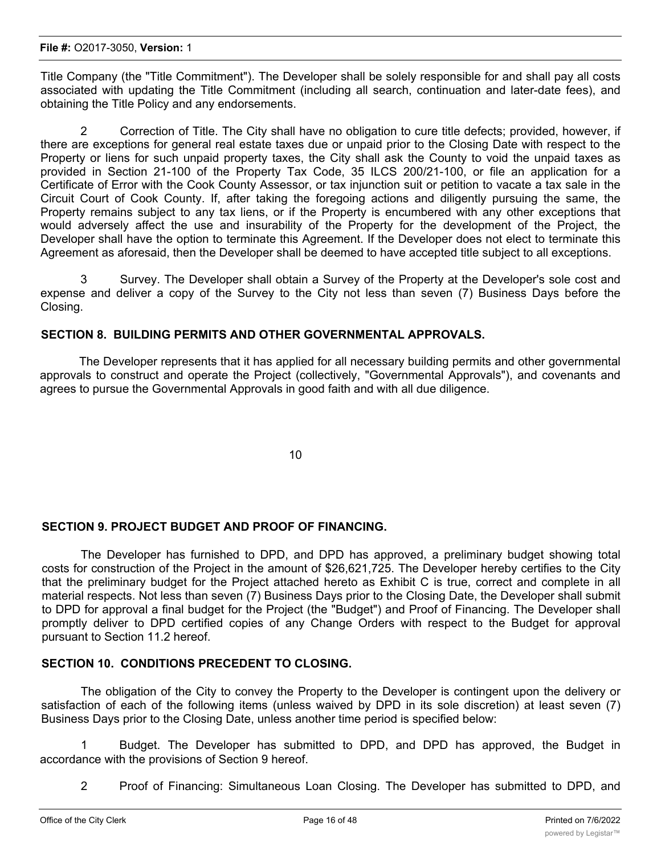Title Company (the "Title Commitment"). The Developer shall be solely responsible for and shall pay all costs associated with updating the Title Commitment (including all search, continuation and later-date fees), and obtaining the Title Policy and any endorsements.

2 Correction of Title. The City shall have no obligation to cure title defects; provided, however, if there are exceptions for general real estate taxes due or unpaid prior to the Closing Date with respect to the Property or liens for such unpaid property taxes, the City shall ask the County to void the unpaid taxes as provided in Section 21-100 of the Property Tax Code, 35 ILCS 200/21-100, or file an application for a Certificate of Error with the Cook County Assessor, or tax injunction suit or petition to vacate a tax sale in the Circuit Court of Cook County. If, after taking the foregoing actions and diligently pursuing the same, the Property remains subject to any tax liens, or if the Property is encumbered with any other exceptions that would adversely affect the use and insurability of the Property for the development of the Project, the Developer shall have the option to terminate this Agreement. If the Developer does not elect to terminate this Agreement as aforesaid, then the Developer shall be deemed to have accepted title subject to all exceptions.

3 Survey. The Developer shall obtain a Survey of the Property at the Developer's sole cost and expense and deliver a copy of the Survey to the City not less than seven (7) Business Days before the Closing.

## **SECTION 8. BUILDING PERMITS AND OTHER GOVERNMENTAL APPROVALS.**

The Developer represents that it has applied for all necessary building permits and other governmental approvals to construct and operate the Project (collectively, "Governmental Approvals"), and covenants and agrees to pursue the Governmental Approvals in good faith and with all due diligence.

10

## **SECTION 9. PROJECT BUDGET AND PROOF OF FINANCING.**

The Developer has furnished to DPD, and DPD has approved, a preliminary budget showing total costs for construction of the Project in the amount of \$26,621,725. The Developer hereby certifies to the City that the preliminary budget for the Project attached hereto as Exhibit C is true, correct and complete in all material respects. Not less than seven (7) Business Days prior to the Closing Date, the Developer shall submit to DPD for approval a final budget for the Project (the "Budget") and Proof of Financing. The Developer shall promptly deliver to DPD certified copies of any Change Orders with respect to the Budget for approval pursuant to Section 11.2 hereof.

### **SECTION 10. CONDITIONS PRECEDENT TO CLOSING.**

The obligation of the City to convey the Property to the Developer is contingent upon the delivery or satisfaction of each of the following items (unless waived by DPD in its sole discretion) at least seven (7) Business Days prior to the Closing Date, unless another time period is specified below:

1 Budget. The Developer has submitted to DPD, and DPD has approved, the Budget in accordance with the provisions of Section 9 hereof.

2 Proof of Financing: Simultaneous Loan Closing. The Developer has submitted to DPD, and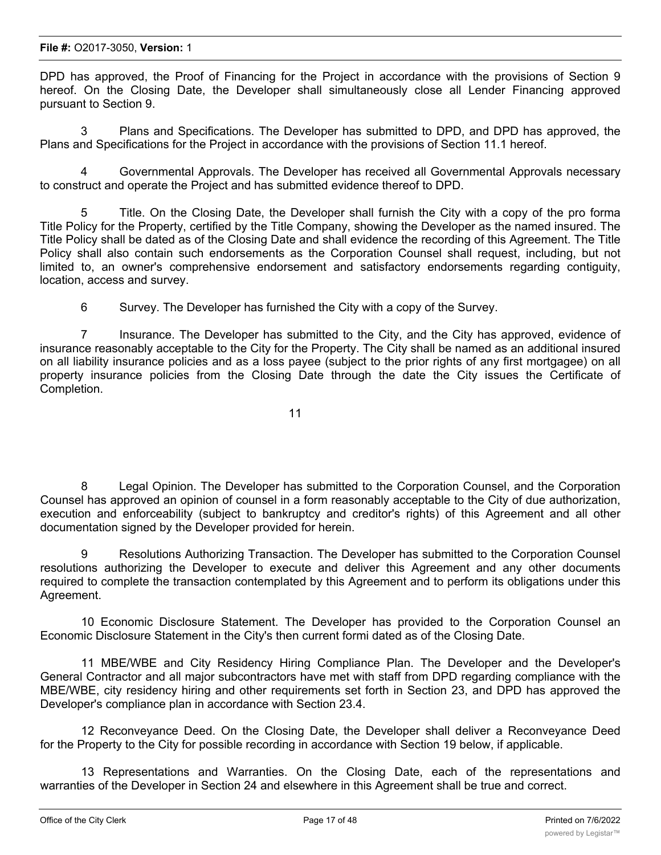#### **File #:** O2017-3050, **Version:** 1

DPD has approved, the Proof of Financing for the Project in accordance with the provisions of Section 9 hereof. On the Closing Date, the Developer shall simultaneously close all Lender Financing approved pursuant to Section 9.

3 Plans and Specifications. The Developer has submitted to DPD, and DPD has approved, the Plans and Specifications for the Project in accordance with the provisions of Section 11.1 hereof.

4 Governmental Approvals. The Developer has received all Governmental Approvals necessary to construct and operate the Project and has submitted evidence thereof to DPD.

5 Title. On the Closing Date, the Developer shall furnish the City with a copy of the pro forma Title Policy for the Property, certified by the Title Company, showing the Developer as the named insured. The Title Policy shall be dated as of the Closing Date and shall evidence the recording of this Agreement. The Title Policy shall also contain such endorsements as the Corporation Counsel shall request, including, but not limited to, an owner's comprehensive endorsement and satisfactory endorsements regarding contiguity, location, access and survey.

6 Survey. The Developer has furnished the City with a copy of the Survey.

7 Insurance. The Developer has submitted to the City, and the City has approved, evidence of insurance reasonably acceptable to the City for the Property. The City shall be named as an additional insured on all liability insurance policies and as a loss payee (subject to the prior rights of any first mortgagee) on all property insurance policies from the Closing Date through the date the City issues the Certificate of Completion.

$$
\mathbf{11} \\
$$

8 Legal Opinion. The Developer has submitted to the Corporation Counsel, and the Corporation Counsel has approved an opinion of counsel in a form reasonably acceptable to the City of due authorization, execution and enforceability (subject to bankruptcy and creditor's rights) of this Agreement and all other documentation signed by the Developer provided for herein.

9 Resolutions Authorizing Transaction. The Developer has submitted to the Corporation Counsel resolutions authorizing the Developer to execute and deliver this Agreement and any other documents required to complete the transaction contemplated by this Agreement and to perform its obligations under this Agreement.

10 Economic Disclosure Statement. The Developer has provided to the Corporation Counsel an Economic Disclosure Statement in the City's then current formi dated as of the Closing Date.

11 MBE/WBE and City Residency Hiring Compliance Plan. The Developer and the Developer's General Contractor and all major subcontractors have met with staff from DPD regarding compliance with the MBE/WBE, city residency hiring and other requirements set forth in Section 23, and DPD has approved the Developer's compliance plan in accordance with Section 23.4.

12 Reconveyance Deed. On the Closing Date, the Developer shall deliver a Reconveyance Deed for the Property to the City for possible recording in accordance with Section 19 below, if applicable.

13 Representations and Warranties. On the Closing Date, each of the representations and warranties of the Developer in Section 24 and elsewhere in this Agreement shall be true and correct.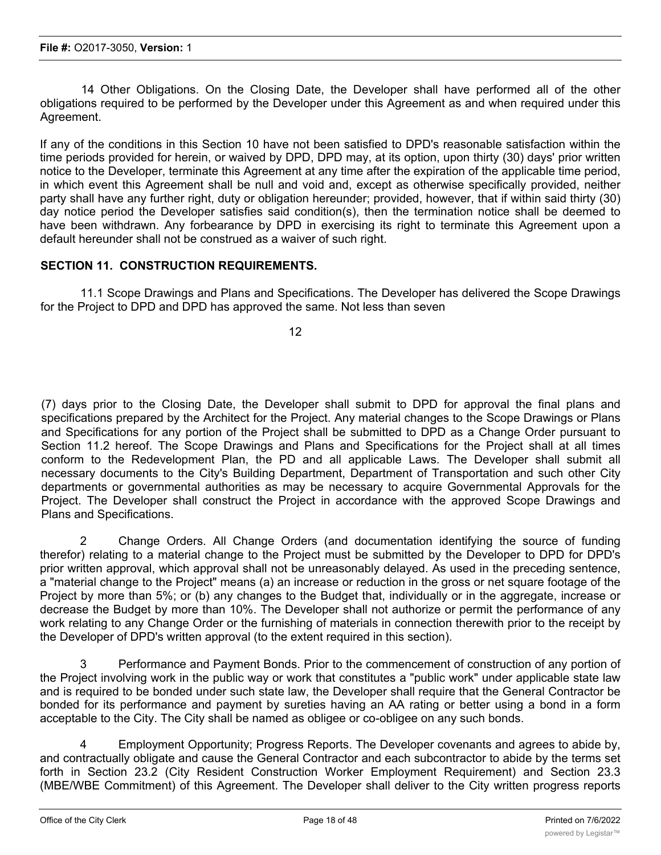14 Other Obligations. On the Closing Date, the Developer shall have performed all of the other obligations required to be performed by the Developer under this Agreement as and when required under this Agreement.

If any of the conditions in this Section 10 have not been satisfied to DPD's reasonable satisfaction within the time periods provided for herein, or waived by DPD, DPD may, at its option, upon thirty (30) days' prior written notice to the Developer, terminate this Agreement at any time after the expiration of the applicable time period, in which event this Agreement shall be null and void and, except as otherwise specifically provided, neither party shall have any further right, duty or obligation hereunder; provided, however, that if within said thirty (30) day notice period the Developer satisfies said condition(s), then the termination notice shall be deemed to have been withdrawn. Any forbearance by DPD in exercising its right to terminate this Agreement upon a default hereunder shall not be construed as a waiver of such right.

## **SECTION 11. CONSTRUCTION REQUIREMENTS.**

11.1 Scope Drawings and Plans and Specifications. The Developer has delivered the Scope Drawings for the Project to DPD and DPD has approved the same. Not less than seven

12

(7) days prior to the Closing Date, the Developer shall submit to DPD for approval the final plans and specifications prepared by the Architect for the Project. Any material changes to the Scope Drawings or Plans and Specifications for any portion of the Project shall be submitted to DPD as a Change Order pursuant to Section 11.2 hereof. The Scope Drawings and Plans and Specifications for the Project shall at all times conform to the Redevelopment Plan, the PD and all applicable Laws. The Developer shall submit all necessary documents to the City's Building Department, Department of Transportation and such other City departments or governmental authorities as may be necessary to acquire Governmental Approvals for the Project. The Developer shall construct the Project in accordance with the approved Scope Drawings and Plans and Specifications.

2 Change Orders. All Change Orders (and documentation identifying the source of funding therefor) relating to a material change to the Project must be submitted by the Developer to DPD for DPD's prior written approval, which approval shall not be unreasonably delayed. As used in the preceding sentence, a "material change to the Project" means (a) an increase or reduction in the gross or net square footage of the Project by more than 5%; or (b) any changes to the Budget that, individually or in the aggregate, increase or decrease the Budget by more than 10%. The Developer shall not authorize or permit the performance of any work relating to any Change Order or the furnishing of materials in connection therewith prior to the receipt by the Developer of DPD's written approval (to the extent required in this section).

3 Performance and Payment Bonds. Prior to the commencement of construction of any portion of the Project involving work in the public way or work that constitutes a "public work" under applicable state law and is required to be bonded under such state law, the Developer shall require that the General Contractor be bonded for its performance and payment by sureties having an AA rating or better using a bond in a form acceptable to the City. The City shall be named as obligee or co-obligee on any such bonds.

4 Employment Opportunity; Progress Reports. The Developer covenants and agrees to abide by, and contractually obligate and cause the General Contractor and each subcontractor to abide by the terms set forth in Section 23.2 (City Resident Construction Worker Employment Requirement) and Section 23.3 (MBE/WBE Commitment) of this Agreement. The Developer shall deliver to the City written progress reports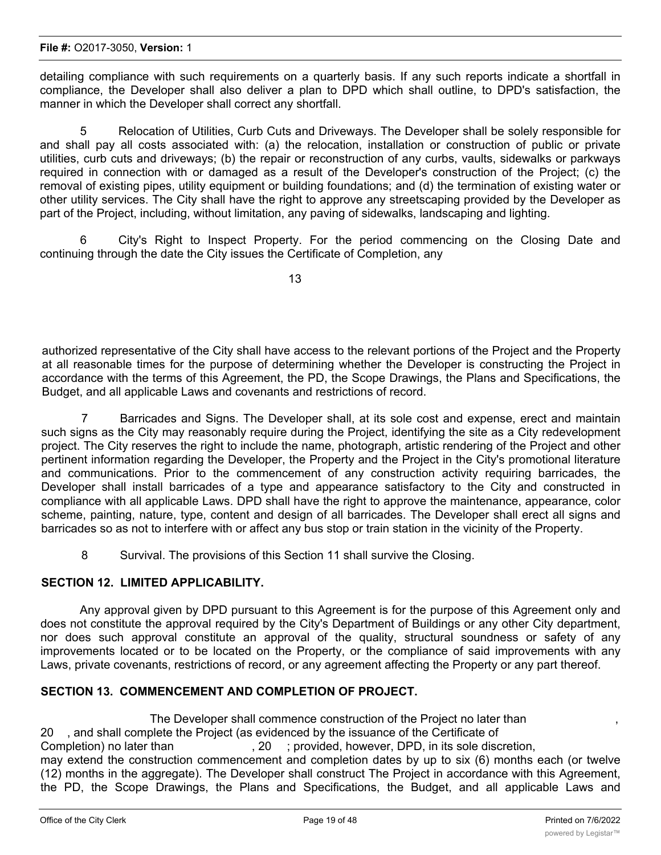detailing compliance with such requirements on a quarterly basis. If any such reports indicate a shortfall in compliance, the Developer shall also deliver a plan to DPD which shall outline, to DPD's satisfaction, the manner in which the Developer shall correct any shortfall.

5 Relocation of Utilities, Curb Cuts and Driveways. The Developer shall be solely responsible for and shall pay all costs associated with: (a) the relocation, installation or construction of public or private utilities, curb cuts and driveways; (b) the repair or reconstruction of any curbs, vaults, sidewalks or parkways required in connection with or damaged as a result of the Developer's construction of the Project; (c) the removal of existing pipes, utility equipment or building foundations; and (d) the termination of existing water or other utility services. The City shall have the right to approve any streetscaping provided by the Developer as part of the Project, including, without limitation, any paving of sidewalks, landscaping and lighting.

6 City's Right to Inspect Property. For the period commencing on the Closing Date and continuing through the date the City issues the Certificate of Completion, any

13

authorized representative of the City shall have access to the relevant portions of the Project and the Property at all reasonable times for the purpose of determining whether the Developer is constructing the Project in accordance with the terms of this Agreement, the PD, the Scope Drawings, the Plans and Specifications, the Budget, and all applicable Laws and covenants and restrictions of record.

7 Barricades and Signs. The Developer shall, at its sole cost and expense, erect and maintain such signs as the City may reasonably require during the Project, identifying the site as a City redevelopment project. The City reserves the right to include the name, photograph, artistic rendering of the Project and other pertinent information regarding the Developer, the Property and the Project in the City's promotional literature and communications. Prior to the commencement of any construction activity requiring barricades, the Developer shall install barricades of a type and appearance satisfactory to the City and constructed in compliance with all applicable Laws. DPD shall have the right to approve the maintenance, appearance, color scheme, painting, nature, type, content and design of all barricades. The Developer shall erect all signs and barricades so as not to interfere with or affect any bus stop or train station in the vicinity of the Property.

8 Survival. The provisions of this Section 11 shall survive the Closing.

## **SECTION 12. LIMITED APPLICABILITY.**

Any approval given by DPD pursuant to this Agreement is for the purpose of this Agreement only and does not constitute the approval required by the City's Department of Buildings or any other City department, nor does such approval constitute an approval of the quality, structural soundness or safety of any improvements located or to be located on the Property, or the compliance of said improvements with any Laws, private covenants, restrictions of record, or any agreement affecting the Property or any part thereof.

## **SECTION 13. COMMENCEMENT AND COMPLETION OF PROJECT.**

The Developer shall commence construction of the Project no later than , 20 , and shall complete the Project (as evidenced by the issuance of the Certificate of Completion) no later than  $\qquad \qquad , 20 \qquad ;$  provided, however, DPD, in its sole discretion, may extend the construction commencement and completion dates by up to six (6) months each (or twelve (12) months in the aggregate). The Developer shall construct The Project in accordance with this Agreement, the PD, the Scope Drawings, the Plans and Specifications, the Budget, and all applicable Laws and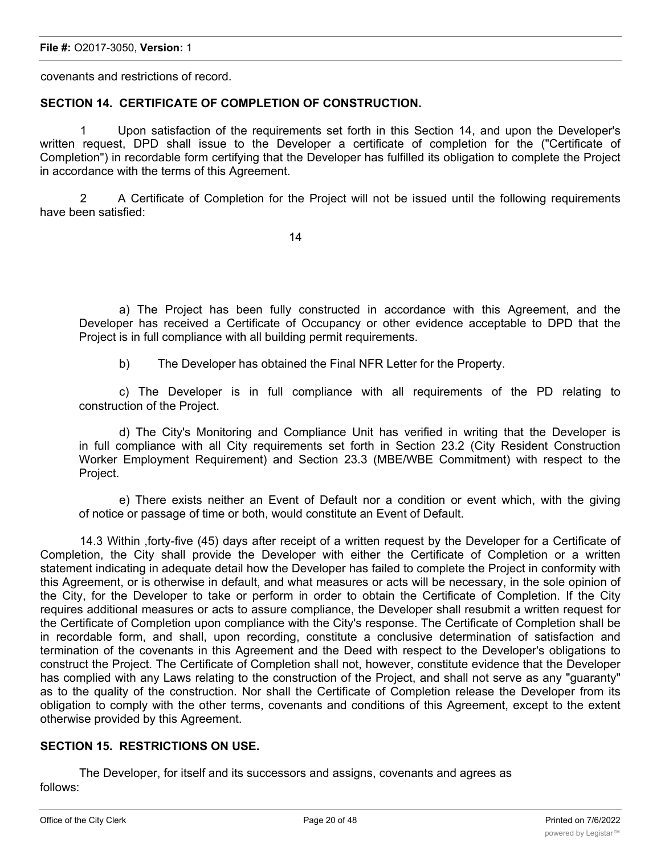covenants and restrictions of record.

## **SECTION 14. CERTIFICATE OF COMPLETION OF CONSTRUCTION.**

1 Upon satisfaction of the requirements set forth in this Section 14, and upon the Developer's written request, DPD shall issue to the Developer a certificate of completion for the ("Certificate of Completion") in recordable form certifying that the Developer has fulfilled its obligation to complete the Project in accordance with the terms of this Agreement.

2 A Certificate of Completion for the Project will not be issued until the following requirements have been satisfied:

14

a) The Project has been fully constructed in accordance with this Agreement, and the Developer has received a Certificate of Occupancy or other evidence acceptable to DPD that the Project is in full compliance with all building permit requirements.

b) The Developer has obtained the Final NFR Letter for the Property.

c) The Developer is in full compliance with all requirements of the PD relating to construction of the Project.

d) The City's Monitoring and Compliance Unit has verified in writing that the Developer is in full compliance with all City requirements set forth in Section 23.2 (City Resident Construction Worker Employment Requirement) and Section 23.3 (MBE/WBE Commitment) with respect to the Project.

e) There exists neither an Event of Default nor a condition or event which, with the giving of notice or passage of time or both, would constitute an Event of Default.

14.3 Within ,forty-five (45) days after receipt of a written request by the Developer for a Certificate of Completion, the City shall provide the Developer with either the Certificate of Completion or a written statement indicating in adequate detail how the Developer has failed to complete the Project in conformity with this Agreement, or is otherwise in default, and what measures or acts will be necessary, in the sole opinion of the City, for the Developer to take or perform in order to obtain the Certificate of Completion. If the City requires additional measures or acts to assure compliance, the Developer shall resubmit a written request for the Certificate of Completion upon compliance with the City's response. The Certificate of Completion shall be in recordable form, and shall, upon recording, constitute a conclusive determination of satisfaction and termination of the covenants in this Agreement and the Deed with respect to the Developer's obligations to construct the Project. The Certificate of Completion shall not, however, constitute evidence that the Developer has complied with any Laws relating to the construction of the Project, and shall not serve as any "guaranty" as to the quality of the construction. Nor shall the Certificate of Completion release the Developer from its obligation to comply with the other terms, covenants and conditions of this Agreement, except to the extent otherwise provided by this Agreement.

## **SECTION 15. RESTRICTIONS ON USE.**

The Developer, for itself and its successors and assigns, covenants and agrees as follows: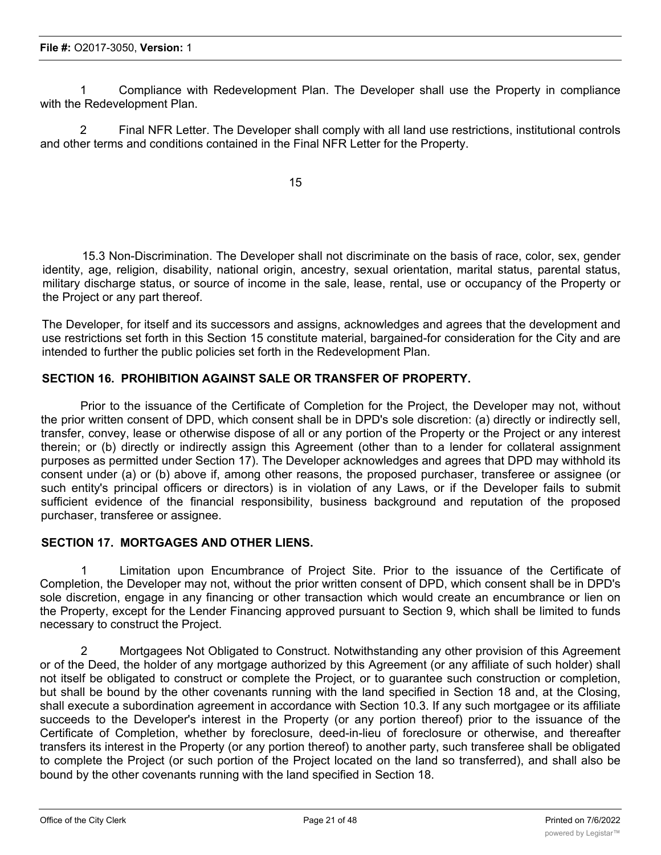1 Compliance with Redevelopment Plan. The Developer shall use the Property in compliance with the Redevelopment Plan.

2 Final NFR Letter. The Developer shall comply with all land use restrictions, institutional controls and other terms and conditions contained in the Final NFR Letter for the Property.

15

15.3 Non-Discrimination. The Developer shall not discriminate on the basis of race, color, sex, gender identity, age, religion, disability, national origin, ancestry, sexual orientation, marital status, parental status, military discharge status, or source of income in the sale, lease, rental, use or occupancy of the Property or the Project or any part thereof.

The Developer, for itself and its successors and assigns, acknowledges and agrees that the development and use restrictions set forth in this Section 15 constitute material, bargained-for consideration for the City and are intended to further the public policies set forth in the Redevelopment Plan.

## **SECTION 16. PROHIBITION AGAINST SALE OR TRANSFER OF PROPERTY.**

Prior to the issuance of the Certificate of Completion for the Project, the Developer may not, without the prior written consent of DPD, which consent shall be in DPD's sole discretion: (a) directly or indirectly sell, transfer, convey, lease or otherwise dispose of all or any portion of the Property or the Project or any interest therein; or (b) directly or indirectly assign this Agreement (other than to a lender for collateral assignment purposes as permitted under Section 17). The Developer acknowledges and agrees that DPD may withhold its consent under (a) or (b) above if, among other reasons, the proposed purchaser, transferee or assignee (or such entity's principal officers or directors) is in violation of any Laws, or if the Developer fails to submit sufficient evidence of the financial responsibility, business background and reputation of the proposed purchaser, transferee or assignee.

## **SECTION 17. MORTGAGES AND OTHER LIENS.**

1 Limitation upon Encumbrance of Project Site. Prior to the issuance of the Certificate of Completion, the Developer may not, without the prior written consent of DPD, which consent shall be in DPD's sole discretion, engage in any financing or other transaction which would create an encumbrance or lien on the Property, except for the Lender Financing approved pursuant to Section 9, which shall be limited to funds necessary to construct the Project.

2 Mortgagees Not Obligated to Construct. Notwithstanding any other provision of this Agreement or of the Deed, the holder of any mortgage authorized by this Agreement (or any affiliate of such holder) shall not itself be obligated to construct or complete the Project, or to guarantee such construction or completion, but shall be bound by the other covenants running with the land specified in Section 18 and, at the Closing, shall execute a subordination agreement in accordance with Section 10.3. If any such mortgagee or its affiliate succeeds to the Developer's interest in the Property (or any portion thereof) prior to the issuance of the Certificate of Completion, whether by foreclosure, deed-in-lieu of foreclosure or otherwise, and thereafter transfers its interest in the Property (or any portion thereof) to another party, such transferee shall be obligated to complete the Project (or such portion of the Project located on the land so transferred), and shall also be bound by the other covenants running with the land specified in Section 18.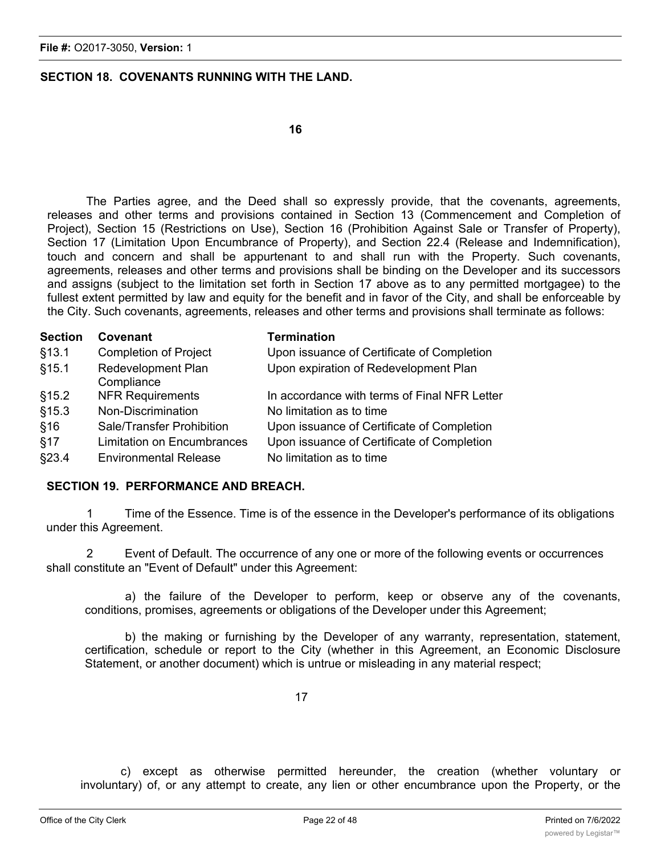## **SECTION 18. COVENANTS RUNNING WITH THE LAND.**

The Parties agree, and the Deed shall so expressly provide, that the covenants, agreements, releases and other terms and provisions contained in Section 13 (Commencement and Completion of Project), Section 15 (Restrictions on Use), Section 16 (Prohibition Against Sale or Transfer of Property), Section 17 (Limitation Upon Encumbrance of Property), and Section 22.4 (Release and Indemnification), touch and concern and shall be appurtenant to and shall run with the Property. Such covenants, agreements, releases and other terms and provisions shall be binding on the Developer and its successors and assigns (subject to the limitation set forth in Section 17 above as to any permitted mortgagee) to the fullest extent permitted by law and equity for the benefit and in favor of the City, and shall be enforceable by the City. Such covenants, agreements, releases and other terms and provisions shall terminate as follows:

| <b>Section</b> | Covenant                                | <b>Termination</b>                           |
|----------------|-----------------------------------------|----------------------------------------------|
| \$13.1         | <b>Completion of Project</b>            | Upon issuance of Certificate of Completion   |
| \$15.1         | <b>Redevelopment Plan</b><br>Compliance | Upon expiration of Redevelopment Plan        |
| \$15.2         | <b>NFR Requirements</b>                 | In accordance with terms of Final NFR Letter |
| \$15.3         | Non-Discrimination                      | No limitation as to time                     |
| §16            | Sale/Transfer Prohibition               | Upon issuance of Certificate of Completion   |
| §17            | <b>Limitation on Encumbrances</b>       | Upon issuance of Certificate of Completion   |
| §23.4          | <b>Environmental Release</b>            | No limitation as to time                     |

## **SECTION 19. PERFORMANCE AND BREACH.**

1 Time of the Essence. Time is of the essence in the Developer's performance of its obligations under this Agreement.

2 Event of Default. The occurrence of any one or more of the following events or occurrences shall constitute an "Event of Default" under this Agreement:

a) the failure of the Developer to perform, keep or observe any of the covenants, conditions, promises, agreements or obligations of the Developer under this Agreement;

b) the making or furnishing by the Developer of any warranty, representation, statement, certification, schedule or report to the City (whether in this Agreement, an Economic Disclosure Statement, or another document) which is untrue or misleading in any material respect;

c) except as otherwise permitted hereunder, the creation (whether voluntary or involuntary) of, or any attempt to create, any lien or other encumbrance upon the Property, or the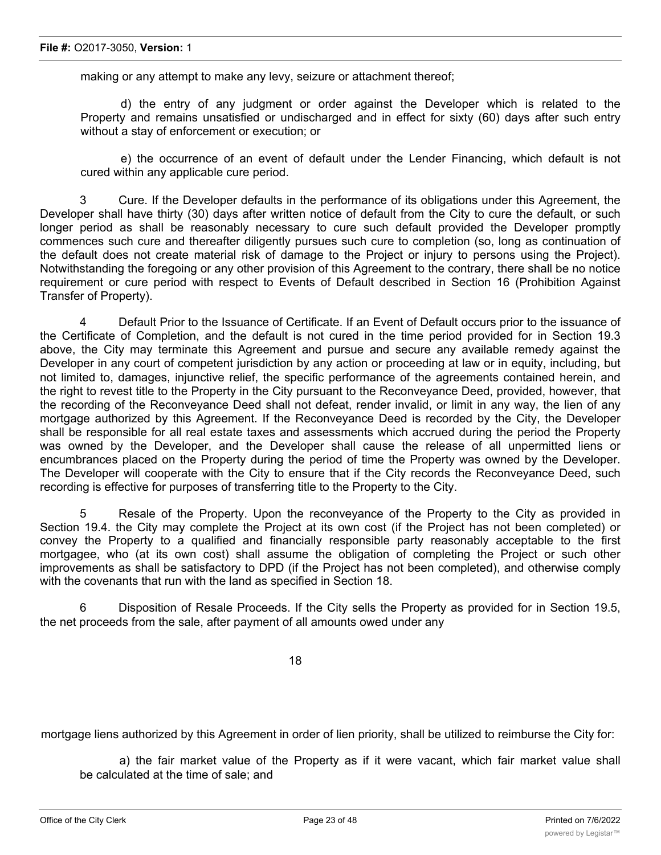making or any attempt to make any levy, seizure or attachment thereof;

d) the entry of any judgment or order against the Developer which is related to the Property and remains unsatisfied or undischarged and in effect for sixty (60) days after such entry without a stay of enforcement or execution; or

e) the occurrence of an event of default under the Lender Financing, which default is not cured within any applicable cure period.

3 Cure. If the Developer defaults in the performance of its obligations under this Agreement, the Developer shall have thirty (30) days after written notice of default from the City to cure the default, or such longer period as shall be reasonably necessary to cure such default provided the Developer promptly commences such cure and thereafter diligently pursues such cure to completion (so, long as continuation of the default does not create material risk of damage to the Project or injury to persons using the Project). Notwithstanding the foregoing or any other provision of this Agreement to the contrary, there shall be no notice requirement or cure period with respect to Events of Default described in Section 16 (Prohibition Against Transfer of Property).

4 Default Prior to the Issuance of Certificate. If an Event of Default occurs prior to the issuance of the Certificate of Completion, and the default is not cured in the time period provided for in Section 19.3 above, the City may terminate this Agreement and pursue and secure any available remedy against the Developer in any court of competent jurisdiction by any action or proceeding at law or in equity, including, but not limited to, damages, injunctive relief, the specific performance of the agreements contained herein, and the right to revest title to the Property in the City pursuant to the Reconveyance Deed, provided, however, that the recording of the Reconveyance Deed shall not defeat, render invalid, or limit in any way, the lien of any mortgage authorized by this Agreement. If the Reconveyance Deed is recorded by the City, the Developer shall be responsible for all real estate taxes and assessments which accrued during the period the Property was owned by the Developer, and the Developer shall cause the release of all unpermitted liens or encumbrances placed on the Property during the period of time the Property was owned by the Developer. The Developer will cooperate with the City to ensure that if the City records the Reconveyance Deed, such recording is effective for purposes of transferring title to the Property to the City.

5 Resale of the Property. Upon the reconveyance of the Property to the City as provided in Section 19.4. the City may complete the Project at its own cost (if the Project has not been completed) or convey the Property to a qualified and financially responsible party reasonably acceptable to the first mortgagee, who (at its own cost) shall assume the obligation of completing the Project or such other improvements as shall be satisfactory to DPD (if the Project has not been completed), and otherwise comply with the covenants that run with the land as specified in Section 18.

6 Disposition of Resale Proceeds. If the City sells the Property as provided for in Section 19.5, the net proceeds from the sale, after payment of all amounts owed under any

18

mortgage liens authorized by this Agreement in order of lien priority, shall be utilized to reimburse the City for:

a) the fair market value of the Property as if it were vacant, which fair market value shall be calculated at the time of sale; and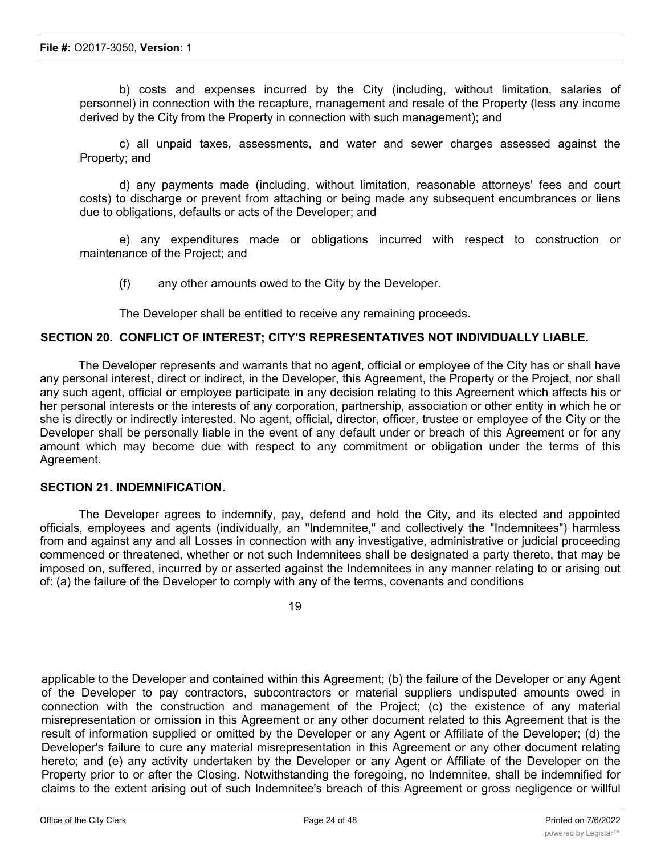b) costs and expenses incurred by the City (including, without limitation, salaries of personnel) in connection with the recapture, management and resale of the Property (less any income derived by the City from the Property in connection with such management); and

c) all unpaid taxes, assessments, and water and sewer charges assessed against the Property; and

d) any payments made (including, without limitation, reasonable attorneys' fees and court costs) to discharge or prevent from attaching or being made any subsequent encumbrances or liens due to obligations, defaults or acts of the Developer; and

e) any expenditures made or obligations incurred with respect to construction or maintenance of the Project; and

(f) any other amounts owed to the City by the Developer.

The Developer shall be entitled to receive any remaining proceeds.

#### **SECTION 20. CONFLICT OF INTEREST; CITY'S REPRESENTATIVES NOT INDIVIDUALLY LIABLE.**

The Developer represents and warrants that no agent, official or employee of the City has or shall have any personal interest, direct or indirect, in the Developer, this Agreement, the Property or the Project, nor shall any such agent, official or employee participate in any decision relating to this Agreement which affects his or her personal interests or the interests of any corporation, partnership, association or other entity in which he or she is directly or indirectly interested. No agent, official, director, officer, trustee or employee of the City or the Developer shall be personally liable in the event of any default under or breach of this Agreement or for any amount which may become due with respect to any commitment or obligation under the terms of this Agreement.

#### **SECTION 21. INDEMNIFICATION.**

The Developer agrees to indemnify, pay, defend and hold the City, and its elected and appointed officials, employees and agents (individually, an "Indemnitee," and collectively the "Indemnitees") harmless from and against any and all Losses in connection with any investigative, administrative or judicial proceeding commenced or threatened, whether or not such Indemnitees shall be designated a party thereto, that may be imposed on, suffered, incurred by or asserted against the Indemnitees in any manner relating to or arising out of: (a) the failure of the Developer to comply with any of the terms, covenants and conditions

19

applicable to the Developer and contained within this Agreement; (b) the failure of the Developer or any Agent of the Developer to pay contractors, subcontractors or material suppliers undisputed amounts owed in connection with the construction and management of the Project; (c) the existence of any material misrepresentation or omission in this Agreement or any other document related to this Agreement that is the result of information supplied or omitted by the Developer or any Agent or Affiliate of the Developer; (d) the Developer's failure to cure any material misrepresentation in this Agreement or any other document relating hereto; and (e) any activity undertaken by the Developer or any Agent or Affiliate of the Developer on the Property prior to or after the Closing. Notwithstanding the foregoing, no Indemnitee, shall be indemnified for claims to the extent arising out of such Indemnitee's breach of this Agreement or gross negligence or willful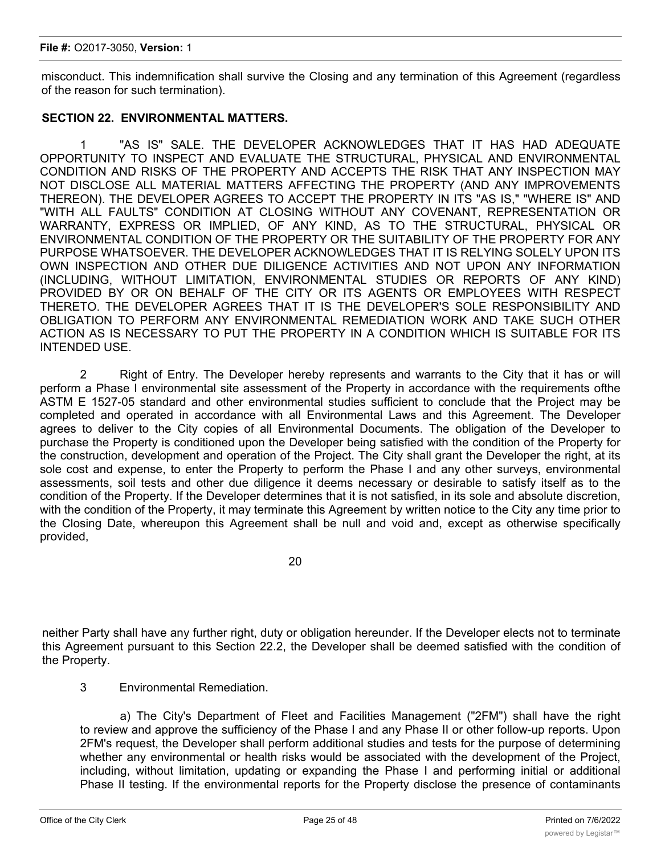#### **File #:** O2017-3050, **Version:** 1

misconduct. This indemnification shall survive the Closing and any termination of this Agreement (regardless of the reason for such termination).

## **SECTION 22. ENVIRONMENTAL MATTERS.**

1 "AS IS" SALE. THE DEVELOPER ACKNOWLEDGES THAT IT HAS HAD ADEQUATE OPPORTUNITY TO INSPECT AND EVALUATE THE STRUCTURAL, PHYSICAL AND ENVIRONMENTAL CONDITION AND RISKS OF THE PROPERTY AND ACCEPTS THE RISK THAT ANY INSPECTION MAY NOT DISCLOSE ALL MATERIAL MATTERS AFFECTING THE PROPERTY (AND ANY IMPROVEMENTS THEREON). THE DEVELOPER AGREES TO ACCEPT THE PROPERTY IN ITS "AS IS," "WHERE IS" AND "WITH ALL FAULTS" CONDITION AT CLOSING WITHOUT ANY COVENANT, REPRESENTATION OR WARRANTY, EXPRESS OR IMPLIED, OF ANY KIND, AS TO THE STRUCTURAL, PHYSICAL OR ENVIRONMENTAL CONDITION OF THE PROPERTY OR THE SUITABILITY OF THE PROPERTY FOR ANY PURPOSE WHATSOEVER. THE DEVELOPER ACKNOWLEDGES THAT IT IS RELYING SOLELY UPON ITS OWN INSPECTION AND OTHER DUE DILIGENCE ACTIVITIES AND NOT UPON ANY INFORMATION (INCLUDING, WITHOUT LIMITATION, ENVIRONMENTAL STUDIES OR REPORTS OF ANY KIND) PROVIDED BY OR ON BEHALF OF THE CITY OR ITS AGENTS OR EMPLOYEES WITH RESPECT THERETO. THE DEVELOPER AGREES THAT IT IS THE DEVELOPER'S SOLE RESPONSIBILITY AND OBLIGATION TO PERFORM ANY ENVIRONMENTAL REMEDIATION WORK AND TAKE SUCH OTHER ACTION AS IS NECESSARY TO PUT THE PROPERTY IN A CONDITION WHICH IS SUITABLE FOR ITS INTENDED USE.

2 Right of Entry. The Developer hereby represents and warrants to the City that it has or will perform a Phase I environmental site assessment of the Property in accordance with the requirements ofthe ASTM E 1527-05 standard and other environmental studies sufficient to conclude that the Project may be completed and operated in accordance with all Environmental Laws and this Agreement. The Developer agrees to deliver to the City copies of all Environmental Documents. The obligation of the Developer to purchase the Property is conditioned upon the Developer being satisfied with the condition of the Property for the construction, development and operation of the Project. The City shall grant the Developer the right, at its sole cost and expense, to enter the Property to perform the Phase I and any other surveys, environmental assessments, soil tests and other due diligence it deems necessary or desirable to satisfy itself as to the condition of the Property. If the Developer determines that it is not satisfied, in its sole and absolute discretion, with the condition of the Property, it may terminate this Agreement by written notice to the City any time prior to the Closing Date, whereupon this Agreement shall be null and void and, except as otherwise specifically provided,

20

neither Party shall have any further right, duty or obligation hereunder. If the Developer elects not to terminate this Agreement pursuant to this Section 22.2, the Developer shall be deemed satisfied with the condition of the Property.

## 3 Environmental Remediation.

a) The City's Department of Fleet and Facilities Management ("2FM") shall have the right to review and approve the sufficiency of the Phase I and any Phase II or other follow-up reports. Upon 2FM's request, the Developer shall perform additional studies and tests for the purpose of determining whether any environmental or health risks would be associated with the development of the Project, including, without limitation, updating or expanding the Phase I and performing initial or additional Phase II testing. If the environmental reports for the Property disclose the presence of contaminants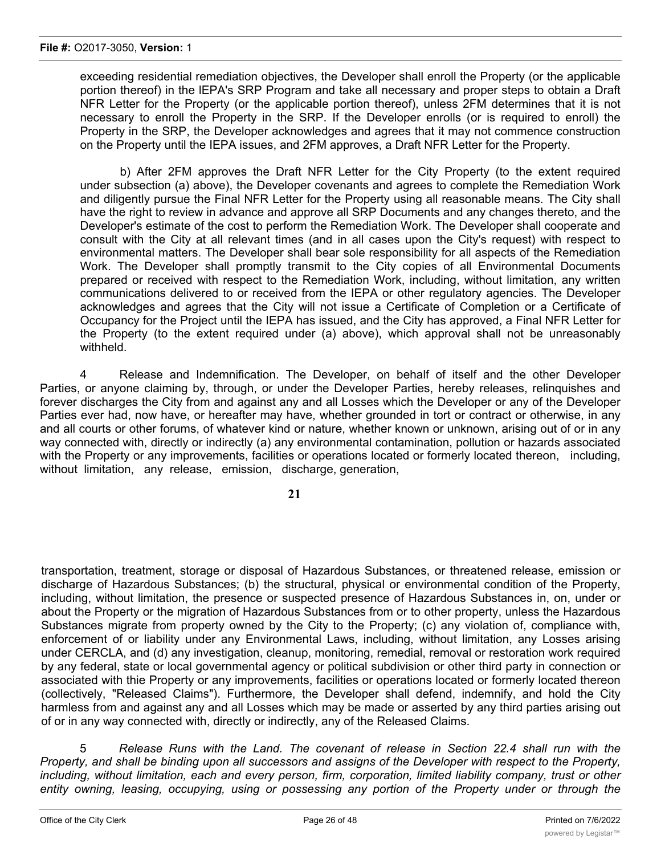exceeding residential remediation objectives, the Developer shall enroll the Property (or the applicable portion thereof) in the lEPA's SRP Program and take all necessary and proper steps to obtain a Draft NFR Letter for the Property (or the applicable portion thereof), unless 2FM determines that it is not necessary to enroll the Property in the SRP. If the Developer enrolls (or is required to enroll) the Property in the SRP, the Developer acknowledges and agrees that it may not commence construction on the Property until the IEPA issues, and 2FM approves, a Draft NFR Letter for the Property.

b) After 2FM approves the Draft NFR Letter for the City Property (to the extent required under subsection (a) above), the Developer covenants and agrees to complete the Remediation Work and diligently pursue the Final NFR Letter for the Property using all reasonable means. The City shall have the right to review in advance and approve all SRP Documents and any changes thereto, and the Developer's estimate of the cost to perform the Remediation Work. The Developer shall cooperate and consult with the City at all relevant times (and in all cases upon the City's request) with respect to environmental matters. The Developer shall bear sole responsibility for all aspects of the Remediation Work. The Developer shall promptly transmit to the City copies of all Environmental Documents prepared or received with respect to the Remediation Work, including, without limitation, any written communications delivered to or received from the IEPA or other regulatory agencies. The Developer acknowledges and agrees that the City will not issue a Certificate of Completion or a Certificate of Occupancy for the Project until the IEPA has issued, and the City has approved, a Final NFR Letter for the Property (to the extent required under (a) above), which approval shall not be unreasonably withheld.

4 Release and Indemnification. The Developer, on behalf of itself and the other Developer Parties, or anyone claiming by, through, or under the Developer Parties, hereby releases, relinquishes and forever discharges the City from and against any and all Losses which the Developer or any of the Developer Parties ever had, now have, or hereafter may have, whether grounded in tort or contract or otherwise, in any and all courts or other forums, of whatever kind or nature, whether known or unknown, arising out of or in any way connected with, directly or indirectly (a) any environmental contamination, pollution or hazards associated with the Property or any improvements, facilities or operations located or formerly located thereon, including, without limitation, any release, emission, discharge, generation,

**21**

transportation, treatment, storage or disposal of Hazardous Substances, or threatened release, emission or discharge of Hazardous Substances; (b) the structural, physical or environmental condition of the Property, including, without limitation, the presence or suspected presence of Hazardous Substances in, on, under or about the Property or the migration of Hazardous Substances from or to other property, unless the Hazardous Substances migrate from property owned by the City to the Property; (c) any violation of, compliance with, enforcement of or liability under any Environmental Laws, including, without limitation, any Losses arising under CERCLA, and (d) any investigation, cleanup, monitoring, remedial, removal or restoration work required by any federal, state or local governmental agency or political subdivision or other third party in connection or associated with thie Property or any improvements, facilities or operations located or formerly located thereon (collectively, "Released Claims"). Furthermore, the Developer shall defend, indemnify, and hold the City harmless from and against any and all Losses which may be made or asserted by any third parties arising out of or in any way connected with, directly or indirectly, any of the Released Claims.

5 *Release Runs with the Land. The covenant of release in Section 22.4 shall run with the* Property, and shall be binding upon all successors and assigns of the Developer with respect to the Property, *including, without limitation, each and every person, firm, corporation, limited liability company, trust or other entity owning, leasing, occupying, using or possessing any portion of the Property under or through the*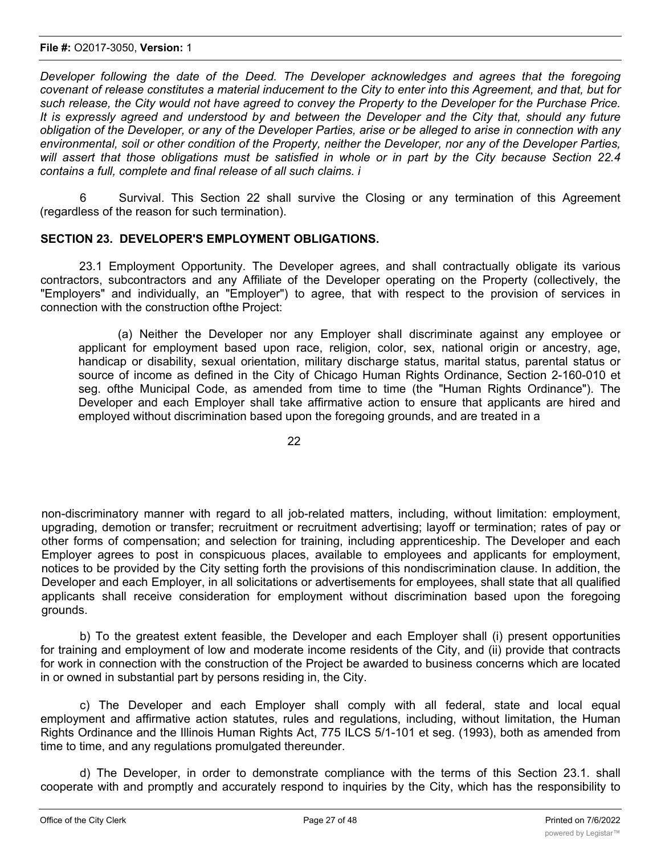#### **File #:** O2017-3050, **Version:** 1

*Developer following the date of the Deed. The Developer acknowledges and agrees that the foregoing* covenant of release constitutes a material inducement to the City to enter into this Agreement, and that, but for such release, the City would not have agreed to convey the Property to the Developer for the Purchase Price, It is expressly agreed and understood by and between the Developer and the City that, should any future obligation of the Developer, or any of the Developer Parties, arise or be alleged to arise in connection with any environmental, soil or other condition of the Property, neither the Developer, nor any of the Developer Parties, will assert that those obligations must be satisfied in whole or in part by the City because Section 22.4 *contains a full, complete and final release of all such claims. i*

6 Survival. This Section 22 shall survive the Closing or any termination of this Agreement (regardless of the reason for such termination).

## **SECTION 23. DEVELOPER'S EMPLOYMENT OBLIGATIONS.**

23.1 Employment Opportunity. The Developer agrees, and shall contractually obligate its various contractors, subcontractors and any Affiliate of the Developer operating on the Property (collectively, the "Employers" and individually, an "Employer") to agree, that with respect to the provision of services in connection with the construction ofthe Project:

(a) Neither the Developer nor any Employer shall discriminate against any employee or applicant for employment based upon race, religion, color, sex, national origin or ancestry, age, handicap or disability, sexual orientation, military discharge status, marital status, parental status or source of income as defined in the City of Chicago Human Rights Ordinance, Section 2-160-010 et seg. ofthe Municipal Code, as amended from time to time (the "Human Rights Ordinance"). The Developer and each Employer shall take affirmative action to ensure that applicants are hired and employed without discrimination based upon the foregoing grounds, and are treated in a

22

non-discriminatory manner with regard to all job-related matters, including, without limitation: employment, upgrading, demotion or transfer; recruitment or recruitment advertising; layoff or termination; rates of pay or other forms of compensation; and selection for training, including apprenticeship. The Developer and each Employer agrees to post in conspicuous places, available to employees and applicants for employment, notices to be provided by the City setting forth the provisions of this nondiscrimination clause. In addition, the Developer and each Employer, in all solicitations or advertisements for employees, shall state that all qualified applicants shall receive consideration for employment without discrimination based upon the foregoing grounds.

b) To the greatest extent feasible, the Developer and each Employer shall (i) present opportunities for training and employment of low and moderate income residents of the City, and (ii) provide that contracts for work in connection with the construction of the Project be awarded to business concerns which are located in or owned in substantial part by persons residing in, the City.

c) The Developer and each Employer shall comply with all federal, state and local equal employment and affirmative action statutes, rules and regulations, including, without limitation, the Human Rights Ordinance and the Illinois Human Rights Act, 775 ILCS 5/1-101 et seg. (1993), both as amended from time to time, and any regulations promulgated thereunder.

d) The Developer, in order to demonstrate compliance with the terms of this Section 23.1. shall cooperate with and promptly and accurately respond to inquiries by the City, which has the responsibility to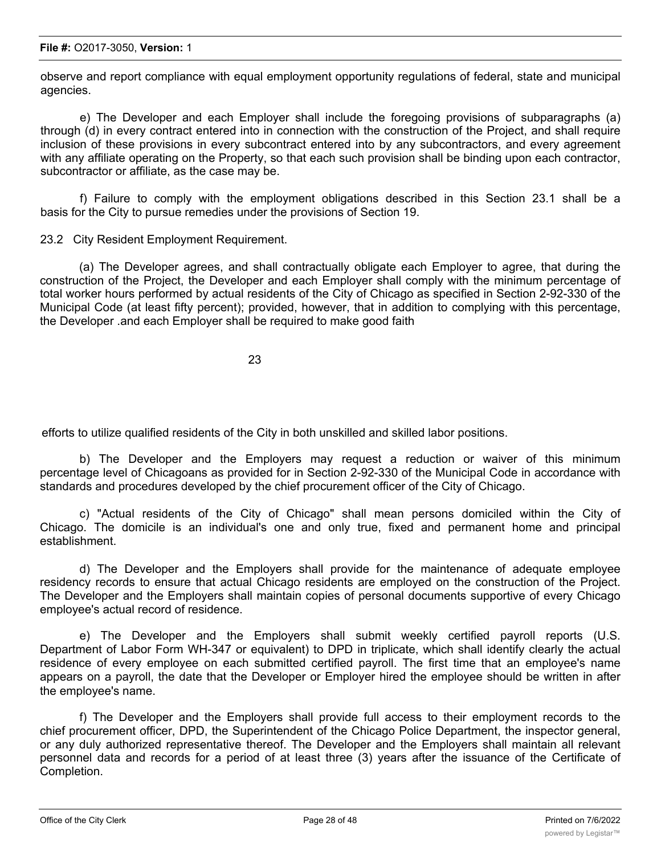#### **File #:** O2017-3050, **Version:** 1

observe and report compliance with equal employment opportunity regulations of federal, state and municipal agencies.

e) The Developer and each Employer shall include the foregoing provisions of subparagraphs (a) through (d) in every contract entered into in connection with the construction of the Project, and shall require inclusion of these provisions in every subcontract entered into by any subcontractors, and every agreement with any affiliate operating on the Property, so that each such provision shall be binding upon each contractor, subcontractor or affiliate, as the case may be.

f) Failure to comply with the employment obligations described in this Section 23.1 shall be a basis for the City to pursue remedies under the provisions of Section 19.

23.2 City Resident Employment Requirement.

(a) The Developer agrees, and shall contractually obligate each Employer to agree, that during the construction of the Project, the Developer and each Employer shall comply with the minimum percentage of total worker hours performed by actual residents of the City of Chicago as specified in Section 2-92-330 of the Municipal Code (at least fifty percent); provided, however, that in addition to complying with this percentage, the Developer .and each Employer shall be required to make good faith

23

efforts to utilize qualified residents of the City in both unskilled and skilled labor positions.

b) The Developer and the Employers may request a reduction or waiver of this minimum percentage level of Chicagoans as provided for in Section 2-92-330 of the Municipal Code in accordance with standards and procedures developed by the chief procurement officer of the City of Chicago.

c) "Actual residents of the City of Chicago" shall mean persons domiciled within the City of Chicago. The domicile is an individual's one and only true, fixed and permanent home and principal establishment.

d) The Developer and the Employers shall provide for the maintenance of adequate employee residency records to ensure that actual Chicago residents are employed on the construction of the Project. The Developer and the Employers shall maintain copies of personal documents supportive of every Chicago employee's actual record of residence.

e) The Developer and the Employers shall submit weekly certified payroll reports (U.S. Department of Labor Form WH-347 or equivalent) to DPD in triplicate, which shall identify clearly the actual residence of every employee on each submitted certified payroll. The first time that an employee's name appears on a payroll, the date that the Developer or Employer hired the employee should be written in after the employee's name.

f) The Developer and the Employers shall provide full access to their employment records to the chief procurement officer, DPD, the Superintendent of the Chicago Police Department, the inspector general, or any duly authorized representative thereof. The Developer and the Employers shall maintain all relevant personnel data and records for a period of at least three (3) years after the issuance of the Certificate of Completion.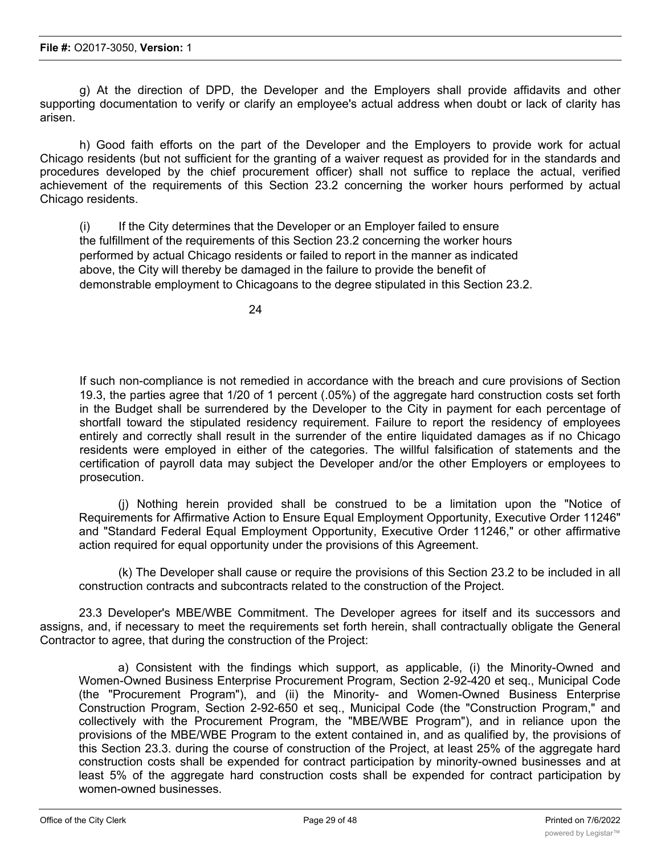g) At the direction of DPD, the Developer and the Employers shall provide affidavits and other supporting documentation to verify or clarify an employee's actual address when doubt or lack of clarity has arisen.

h) Good faith efforts on the part of the Developer and the Employers to provide work for actual Chicago residents (but not sufficient for the granting of a waiver request as provided for in the standards and procedures developed by the chief procurement officer) shall not suffice to replace the actual, verified achievement of the requirements of this Section 23.2 concerning the worker hours performed by actual Chicago residents.

(i) If the City determines that the Developer or an Employer failed to ensure the fulfillment of the requirements of this Section 23.2 concerning the worker hours performed by actual Chicago residents or failed to report in the manner as indicated above, the City will thereby be damaged in the failure to provide the benefit of demonstrable employment to Chicagoans to the degree stipulated in this Section 23.2.

If such non-compliance is not remedied in accordance with the breach and cure provisions of Section 19.3, the parties agree that 1/20 of 1 percent (.05%) of the aggregate hard construction costs set forth in the Budget shall be surrendered by the Developer to the City in payment for each percentage of shortfall toward the stipulated residency requirement. Failure to report the residency of employees entirely and correctly shall result in the surrender of the entire liquidated damages as if no Chicago residents were employed in either of the categories. The willful falsification of statements and the certification of payroll data may subject the Developer and/or the other Employers or employees to prosecution.

(j) Nothing herein provided shall be construed to be a limitation upon the "Notice of Requirements for Affirmative Action to Ensure Equal Employment Opportunity, Executive Order 11246" and "Standard Federal Equal Employment Opportunity, Executive Order 11246," or other affirmative action required for equal opportunity under the provisions of this Agreement.

(k) The Developer shall cause or require the provisions of this Section 23.2 to be included in all construction contracts and subcontracts related to the construction of the Project.

23.3 Developer's MBE/WBE Commitment. The Developer agrees for itself and its successors and assigns, and, if necessary to meet the requirements set forth herein, shall contractually obligate the General Contractor to agree, that during the construction of the Project:

a) Consistent with the findings which support, as applicable, (i) the Minority-Owned and Women-Owned Business Enterprise Procurement Program, Section 2-92-420 et seq., Municipal Code (the "Procurement Program"), and (ii) the Minority- and Women-Owned Business Enterprise Construction Program, Section 2-92-650 et seq., Municipal Code (the "Construction Program," and collectively with the Procurement Program, the "MBE/WBE Program"), and in reliance upon the provisions of the MBE/WBE Program to the extent contained in, and as qualified by, the provisions of this Section 23.3. during the course of construction of the Project, at least 25% of the aggregate hard construction costs shall be expended for contract participation by minority-owned businesses and at least 5% of the aggregate hard construction costs shall be expended for contract participation by women-owned businesses.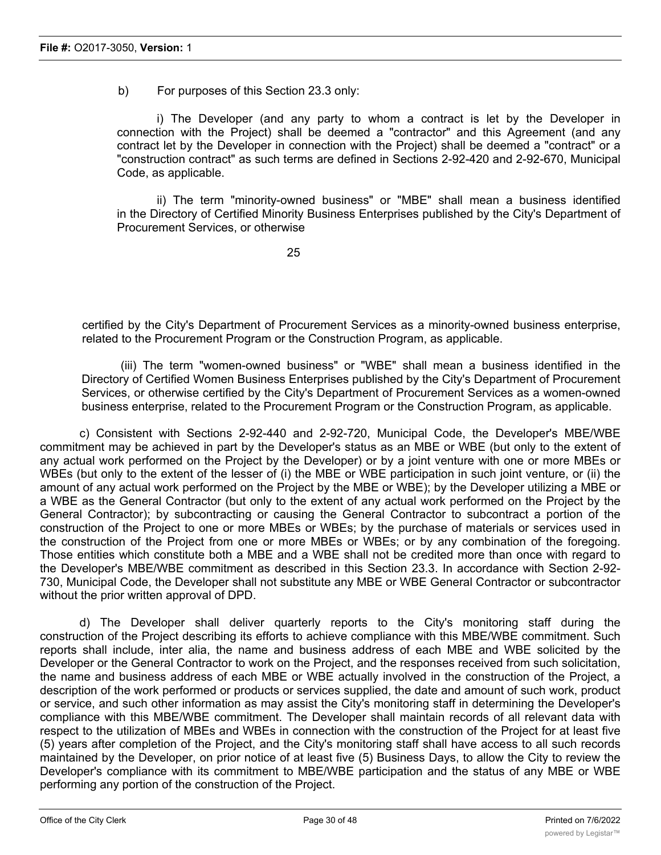b) For purposes of this Section 23.3 only:

i) The Developer (and any party to whom a contract is let by the Developer in connection with the Project) shall be deemed a "contractor" and this Agreement (and any contract let by the Developer in connection with the Project) shall be deemed a "contract" or a "construction contract" as such terms are defined in Sections 2-92-420 and 2-92-670, Municipal Code, as applicable.

ii) The term "minority-owned business" or "MBE" shall mean a business identified in the Directory of Certified Minority Business Enterprises published by the City's Department of Procurement Services, or otherwise

25

certified by the City's Department of Procurement Services as a minority-owned business enterprise, related to the Procurement Program or the Construction Program, as applicable.

(iii) The term "women-owned business" or "WBE" shall mean a business identified in the Directory of Certified Women Business Enterprises published by the City's Department of Procurement Services, or otherwise certified by the City's Department of Procurement Services as a women-owned business enterprise, related to the Procurement Program or the Construction Program, as applicable.

c) Consistent with Sections 2-92-440 and 2-92-720, Municipal Code, the Developer's MBE/WBE commitment may be achieved in part by the Developer's status as an MBE or WBE (but only to the extent of any actual work performed on the Project by the Developer) or by a joint venture with one or more MBEs or WBEs (but only to the extent of the lesser of (i) the MBE or WBE participation in such joint venture, or (ii) the amount of any actual work performed on the Project by the MBE or WBE); by the Developer utilizing a MBE or a WBE as the General Contractor (but only to the extent of any actual work performed on the Project by the General Contractor); by subcontracting or causing the General Contractor to subcontract a portion of the construction of the Project to one or more MBEs or WBEs; by the purchase of materials or services used in the construction of the Project from one or more MBEs or WBEs; or by any combination of the foregoing. Those entities which constitute both a MBE and a WBE shall not be credited more than once with regard to the Developer's MBE/WBE commitment as described in this Section 23.3. In accordance with Section 2-92- 730, Municipal Code, the Developer shall not substitute any MBE or WBE General Contractor or subcontractor without the prior written approval of DPD.

d) The Developer shall deliver quarterly reports to the City's monitoring staff during the construction of the Project describing its efforts to achieve compliance with this MBE/WBE commitment. Such reports shall include, inter alia, the name and business address of each MBE and WBE solicited by the Developer or the General Contractor to work on the Project, and the responses received from such solicitation, the name and business address of each MBE or WBE actually involved in the construction of the Project, a description of the work performed or products or services supplied, the date and amount of such work, product or service, and such other information as may assist the City's monitoring staff in determining the Developer's compliance with this MBE/WBE commitment. The Developer shall maintain records of all relevant data with respect to the utilization of MBEs and WBEs in connection with the construction of the Project for at least five (5) years after completion of the Project, and the City's monitoring staff shall have access to all such records maintained by the Developer, on prior notice of at least five (5) Business Days, to allow the City to review the Developer's compliance with its commitment to MBE/WBE participation and the status of any MBE or WBE performing any portion of the construction of the Project.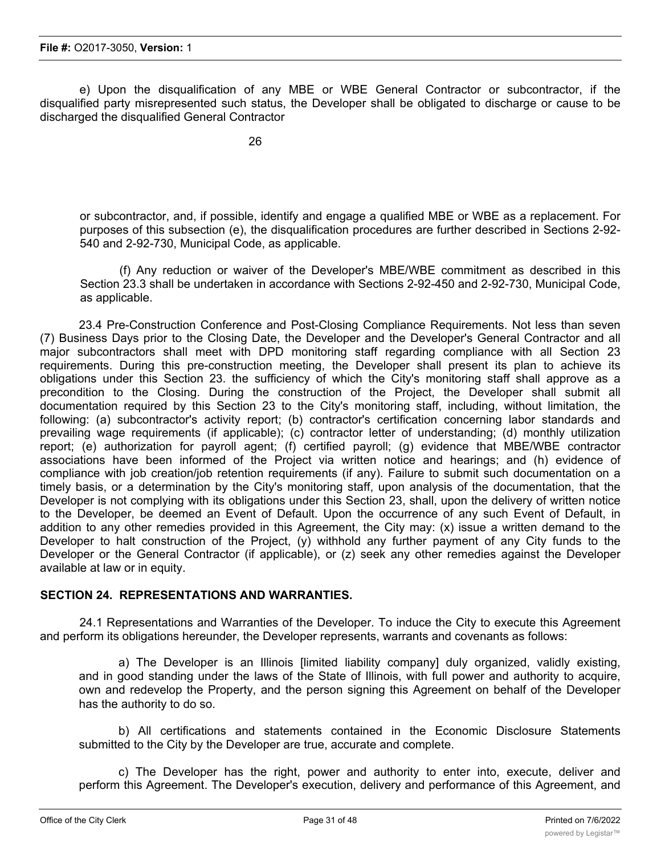e) Upon the disqualification of any MBE or WBE General Contractor or subcontractor, if the disqualified party misrepresented such status, the Developer shall be obligated to discharge or cause to be discharged the disqualified General Contractor

or subcontractor, and, if possible, identify and engage a qualified MBE or WBE as a replacement. For purposes of this subsection (e), the disqualification procedures are further described in Sections 2-92- 540 and 2-92-730, Municipal Code, as applicable.

(f) Any reduction or waiver of the Developer's MBE/WBE commitment as described in this Section 23.3 shall be undertaken in accordance with Sections 2-92-450 and 2-92-730, Municipal Code, as applicable.

23.4 Pre-Construction Conference and Post-Closing Compliance Requirements. Not less than seven (7) Business Days prior to the Closing Date, the Developer and the Developer's General Contractor and all major subcontractors shall meet with DPD monitoring staff regarding compliance with all Section 23 requirements. During this pre-construction meeting, the Developer shall present its plan to achieve its obligations under this Section 23. the sufficiency of which the City's monitoring staff shall approve as a precondition to the Closing. During the construction of the Project, the Developer shall submit all documentation required by this Section 23 to the City's monitoring staff, including, without limitation, the following: (a) subcontractor's activity report; (b) contractor's certification concerning labor standards and prevailing wage requirements (if applicable); (c) contractor letter of understanding; (d) monthly utilization report; (e) authorization for payroll agent; (f) certified payroll; (g) evidence that MBE/WBE contractor associations have been informed of the Project via written notice and hearings; and (h) evidence of compliance with job creation/job retention requirements (if any). Failure to submit such documentation on a timely basis, or a determination by the City's monitoring staff, upon analysis of the documentation, that the Developer is not complying with its obligations under this Section 23, shall, upon the delivery of written notice to the Developer, be deemed an Event of Default. Upon the occurrence of any such Event of Default, in addition to any other remedies provided in this Agreement, the City may: (x) issue a written demand to the Developer to halt construction of the Project, (y) withhold any further payment of any City funds to the Developer or the General Contractor (if applicable), or (z) seek any other remedies against the Developer available at law or in equity.

## **SECTION 24. REPRESENTATIONS AND WARRANTIES.**

24.1 Representations and Warranties of the Developer. To induce the City to execute this Agreement and perform its obligations hereunder, the Developer represents, warrants and covenants as follows:

a) The Developer is an Illinois [limited liability company] duly organized, validly existing, and in good standing under the laws of the State of Illinois, with full power and authority to acquire, own and redevelop the Property, and the person signing this Agreement on behalf of the Developer has the authority to do so.

b) All certifications and statements contained in the Economic Disclosure Statements submitted to the City by the Developer are true, accurate and complete.

c) The Developer has the right, power and authority to enter into, execute, deliver and perform this Agreement. The Developer's execution, delivery and performance of this Agreement, and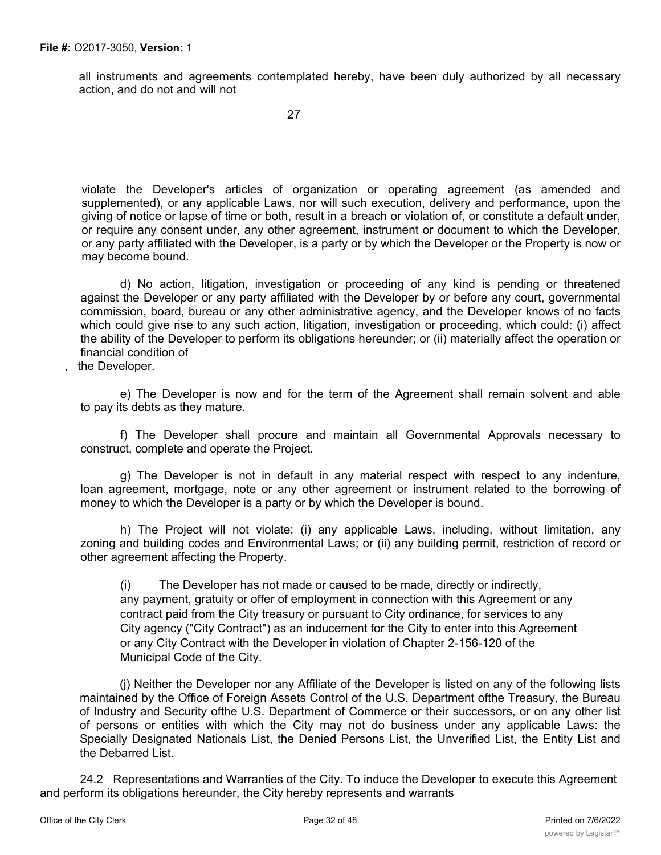all instruments and agreements contemplated hereby, have been duly authorized by all necessary action, and do not and will not

violate the Developer's articles of organization or operating agreement (as amended and supplemented), or any applicable Laws, nor will such execution, delivery and performance, upon the giving of notice or lapse of time or both, result in a breach or violation of, or constitute a default under, or require any consent under, any other agreement, instrument or document to which the Developer, or any party affiliated with the Developer, is a party or by which the Developer or the Property is now or may become bound.

d) No action, litigation, investigation or proceeding of any kind is pending or threatened against the Developer or any party affiliated with the Developer by or before any court, governmental commission, board, bureau or any other administrative agency, and the Developer knows of no facts which could give rise to any such action, litigation, investigation or proceeding, which could: (i) affect the ability of the Developer to perform its obligations hereunder; or (ii) materially affect the operation or financial condition of

the Developer.

e) The Developer is now and for the term of the Agreement shall remain solvent and able to pay its debts as they mature.

f) The Developer shall procure and maintain all Governmental Approvals necessary to construct, complete and operate the Project.

g) The Developer is not in default in any material respect with respect to any indenture, loan agreement, mortgage, note or any other agreement or instrument related to the borrowing of money to which the Developer is a party or by which the Developer is bound.

h) The Project will not violate: (i) any applicable Laws, including, without limitation, any zoning and building codes and Environmental Laws; or (ii) any building permit, restriction of record or other agreement affecting the Property.

(i) The Developer has not made or caused to be made, directly or indirectly, any payment, gratuity or offer of employment in connection with this Agreement or any contract paid from the City treasury or pursuant to City ordinance, for services to any City agency ("City Contract") as an inducement for the City to enter into this Agreement or any City Contract with the Developer in violation of Chapter 2-156-120 of the Municipal Code of the City.

(j) Neither the Developer nor any Affiliate of the Developer is listed on any of the following lists maintained by the Office of Foreign Assets Control of the U.S. Department ofthe Treasury, the Bureau of Industry and Security ofthe U.S. Department of Commerce or their successors, or on any other list of persons or entities with which the City may not do business under any applicable Laws: the Specially Designated Nationals List, the Denied Persons List, the Unverified List, the Entity List and the Debarred List.

24.2 Representations and Warranties of the City. To induce the Developer to execute this Agreement and perform its obligations hereunder, the City hereby represents and warrants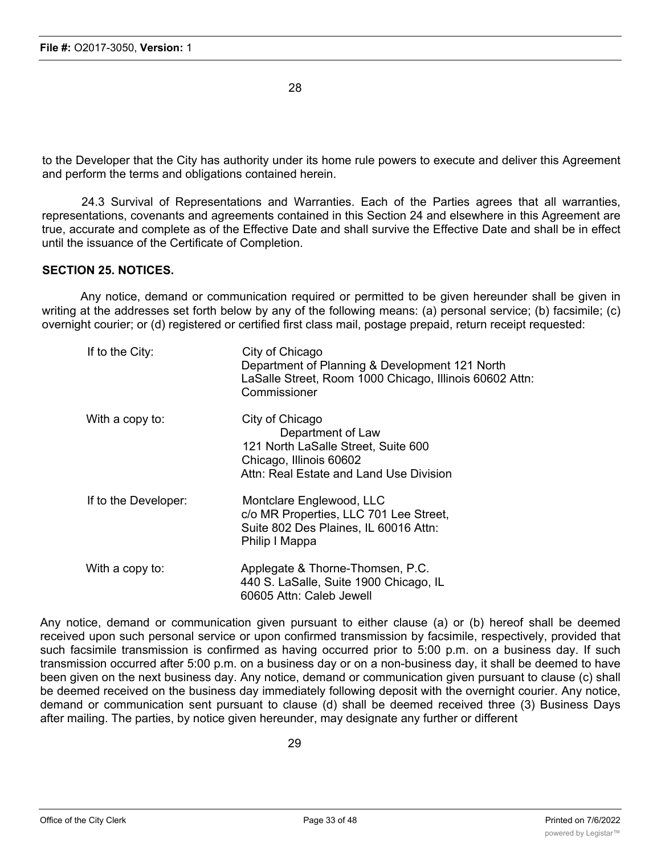28

to the Developer that the City has authority under its home rule powers to execute and deliver this Agreement and perform the terms and obligations contained herein.

24.3 Survival of Representations and Warranties. Each of the Parties agrees that all warranties, representations, covenants and agreements contained in this Section 24 and elsewhere in this Agreement are true, accurate and complete as of the Effective Date and shall survive the Effective Date and shall be in effect until the issuance of the Certificate of Completion.

## **SECTION 25. NOTICES.**

Any notice, demand or communication required or permitted to be given hereunder shall be given in writing at the addresses set forth below by any of the following means: (a) personal service; (b) facsimile; (c) overnight courier; or (d) registered or certified first class mail, postage prepaid, return receipt requested:

| If to the City:      | City of Chicago<br>Department of Planning & Development 121 North<br>LaSalle Street, Room 1000 Chicago, Illinois 60602 Attn:<br>Commissioner      |
|----------------------|---------------------------------------------------------------------------------------------------------------------------------------------------|
| With a copy to:      | City of Chicago<br>Department of Law<br>121 North LaSalle Street, Suite 600<br>Chicago, Illinois 60602<br>Attn: Real Estate and Land Use Division |
| If to the Developer: | Montclare Englewood, LLC<br>c/o MR Properties, LLC 701 Lee Street,<br>Suite 802 Des Plaines, IL 60016 Attn:<br>Philip I Mappa                     |
| With a copy to:      | Applegate & Thorne-Thomsen, P.C.<br>440 S. LaSalle, Suite 1900 Chicago, IL<br>60605 Attn: Caleb Jewell                                            |

Any notice, demand or communication given pursuant to either clause (a) or (b) hereof shall be deemed received upon such personal service or upon confirmed transmission by facsimile, respectively, provided that such facsimile transmission is confirmed as having occurred prior to 5:00 p.m. on a business day. If such transmission occurred after 5:00 p.m. on a business day or on a non-business day, it shall be deemed to have been given on the next business day. Any notice, demand or communication given pursuant to clause (c) shall be deemed received on the business day immediately following deposit with the overnight courier. Any notice, demand or communication sent pursuant to clause (d) shall be deemed received three (3) Business Days after mailing. The parties, by notice given hereunder, may designate any further or different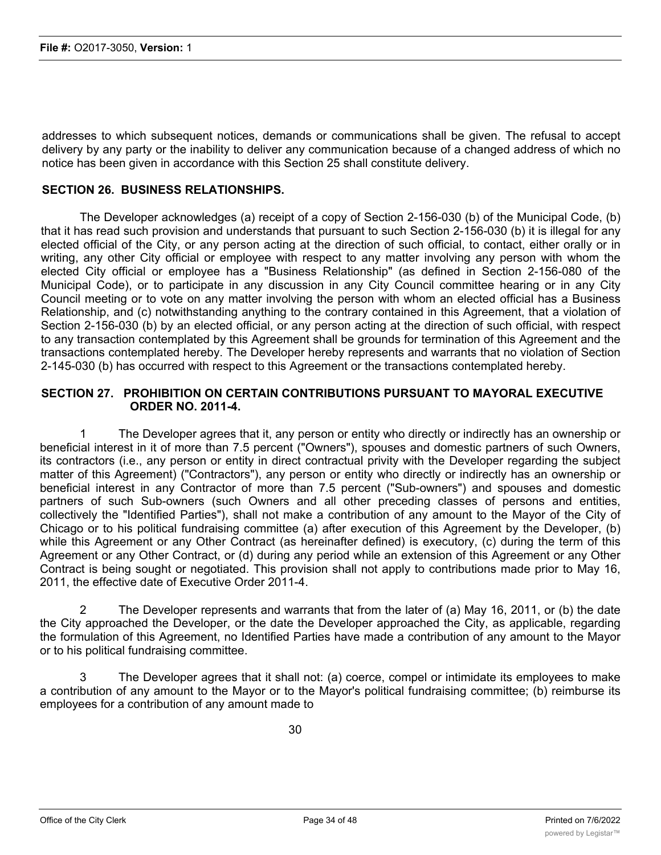addresses to which subsequent notices, demands or communications shall be given. The refusal to accept delivery by any party or the inability to deliver any communication because of a changed address of which no notice has been given in accordance with this Section 25 shall constitute delivery.

### **SECTION 26. BUSINESS RELATIONSHIPS.**

The Developer acknowledges (a) receipt of a copy of Section 2-156-030 (b) of the Municipal Code, (b) that it has read such provision and understands that pursuant to such Section 2-156-030 (b) it is illegal for any elected official of the City, or any person acting at the direction of such official, to contact, either orally or in writing, any other City official or employee with respect to any matter involving any person with whom the elected City official or employee has a "Business Relationship" (as defined in Section 2-156-080 of the Municipal Code), or to participate in any discussion in any City Council committee hearing or in any City Council meeting or to vote on any matter involving the person with whom an elected official has a Business Relationship, and (c) notwithstanding anything to the contrary contained in this Agreement, that a violation of Section 2-156-030 (b) by an elected official, or any person acting at the direction of such official, with respect to any transaction contemplated by this Agreement shall be grounds for termination of this Agreement and the transactions contemplated hereby. The Developer hereby represents and warrants that no violation of Section 2-145-030 (b) has occurred with respect to this Agreement or the transactions contemplated hereby.

## **SECTION 27. PROHIBITION ON CERTAIN CONTRIBUTIONS PURSUANT TO MAYORAL EXECUTIVE ORDER NO. 2011-4.**

1 The Developer agrees that it, any person or entity who directly or indirectly has an ownership or beneficial interest in it of more than 7.5 percent ("Owners"), spouses and domestic partners of such Owners, its contractors (i.e., any person or entity in direct contractual privity with the Developer regarding the subject matter of this Agreement) ("Contractors"), any person or entity who directly or indirectly has an ownership or beneficial interest in any Contractor of more than 7.5 percent ("Sub-owners") and spouses and domestic partners of such Sub-owners (such Owners and all other preceding classes of persons and entities, collectively the "Identified Parties"), shall not make a contribution of any amount to the Mayor of the City of Chicago or to his political fundraising committee (a) after execution of this Agreement by the Developer, (b) while this Agreement or any Other Contract (as hereinafter defined) is executory, (c) during the term of this Agreement or any Other Contract, or (d) during any period while an extension of this Agreement or any Other Contract is being sought or negotiated. This provision shall not apply to contributions made prior to May 16, 2011, the effective date of Executive Order 2011-4.

2 The Developer represents and warrants that from the later of (a) May 16, 2011, or (b) the date the City approached the Developer, or the date the Developer approached the City, as applicable, regarding the formulation of this Agreement, no Identified Parties have made a contribution of any amount to the Mayor or to his political fundraising committee.

3 The Developer agrees that it shall not: (a) coerce, compel or intimidate its employees to make a contribution of any amount to the Mayor or to the Mayor's political fundraising committee; (b) reimburse its employees for a contribution of any amount made to

30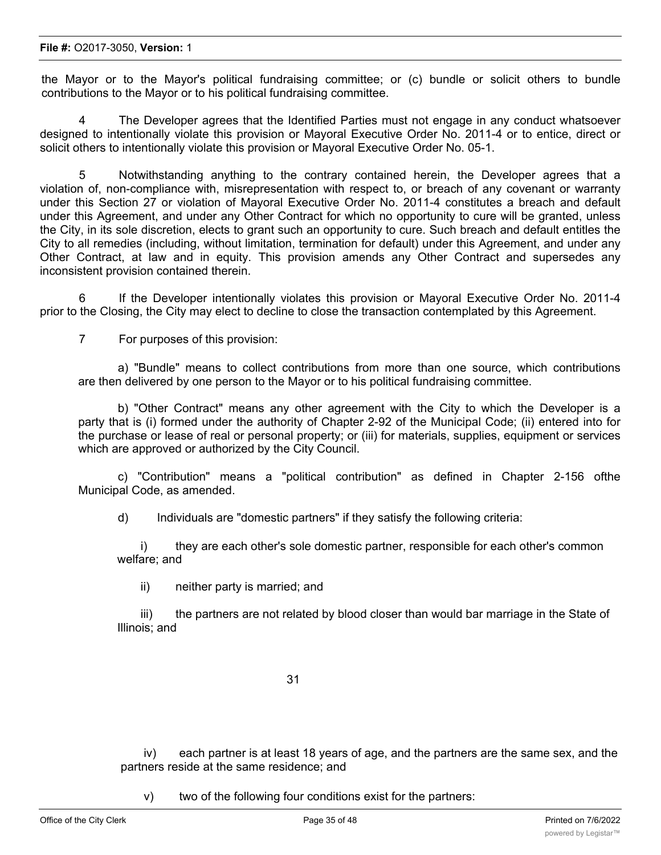#### **File #:** O2017-3050, **Version:** 1

the Mayor or to the Mayor's political fundraising committee; or (c) bundle or solicit others to bundle contributions to the Mayor or to his political fundraising committee.

4 The Developer agrees that the Identified Parties must not engage in any conduct whatsoever designed to intentionally violate this provision or Mayoral Executive Order No. 2011-4 or to entice, direct or solicit others to intentionally violate this provision or Mayoral Executive Order No. 05-1.

5 Notwithstanding anything to the contrary contained herein, the Developer agrees that a violation of, non-compliance with, misrepresentation with respect to, or breach of any covenant or warranty under this Section 27 or violation of Mayoral Executive Order No. 2011-4 constitutes a breach and default under this Agreement, and under any Other Contract for which no opportunity to cure will be granted, unless the City, in its sole discretion, elects to grant such an opportunity to cure. Such breach and default entitles the City to all remedies (including, without limitation, termination for default) under this Agreement, and under any Other Contract, at law and in equity. This provision amends any Other Contract and supersedes any inconsistent provision contained therein.

6 If the Developer intentionally violates this provision or Mayoral Executive Order No. 2011-4 prior to the Closing, the City may elect to decline to close the transaction contemplated by this Agreement.

7 For purposes of this provision:

a) "Bundle" means to collect contributions from more than one source, which contributions are then delivered by one person to the Mayor or to his political fundraising committee.

b) "Other Contract" means any other agreement with the City to which the Developer is a party that is (i) formed under the authority of Chapter 2-92 of the Municipal Code; (ii) entered into for the purchase or lease of real or personal property; or (iii) for materials, supplies, equipment or services which are approved or authorized by the City Council.

c) "Contribution" means a "political contribution" as defined in Chapter 2-156 ofthe Municipal Code, as amended.

d) Individuals are "domestic partners" if they satisfy the following criteria:

i) they are each other's sole domestic partner, responsible for each other's common welfare; and

ii) neither party is married; and

iii) the partners are not related by blood closer than would bar marriage in the State of Illinois; and

31

iv) each partner is at least 18 years of age, and the partners are the same sex, and the partners reside at the same residence; and

v) two of the following four conditions exist for the partners: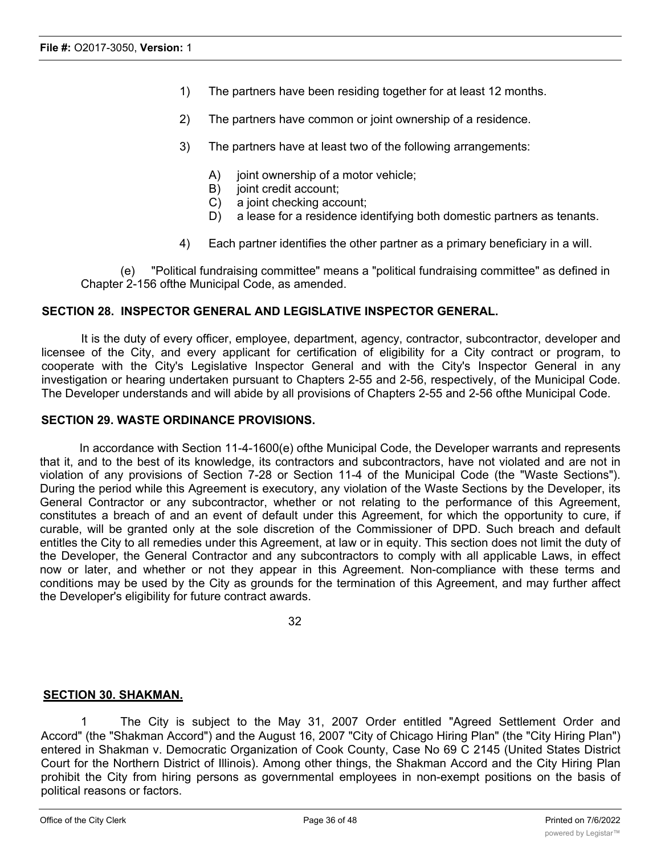- 1) The partners have been residing together for at least 12 months.
- 2) The partners have common or joint ownership of a residence.
- 3) The partners have at least two of the following arrangements:
	- A) joint ownership of a motor vehicle;
	- B) joint credit account;
	- C) a joint checking account;
	- D) a lease for a residence identifying both domestic partners as tenants.
- 4) Each partner identifies the other partner as a primary beneficiary in a will.

(e) "Political fundraising committee" means a "political fundraising committee" as defined in Chapter 2-156 ofthe Municipal Code, as amended.

## **SECTION 28. INSPECTOR GENERAL AND LEGISLATIVE INSPECTOR GENERAL.**

It is the duty of every officer, employee, department, agency, contractor, subcontractor, developer and licensee of the City, and every applicant for certification of eligibility for a City contract or program, to cooperate with the City's Legislative Inspector General and with the City's Inspector General in any investigation or hearing undertaken pursuant to Chapters 2-55 and 2-56, respectively, of the Municipal Code. The Developer understands and will abide by all provisions of Chapters 2-55 and 2-56 ofthe Municipal Code.

### **SECTION 29. WASTE ORDINANCE PROVISIONS.**

In accordance with Section 11-4-1600(e) ofthe Municipal Code, the Developer warrants and represents that it, and to the best of its knowledge, its contractors and subcontractors, have not violated and are not in violation of any provisions of Section 7-28 or Section 11-4 of the Municipal Code (the "Waste Sections"). During the period while this Agreement is executory, any violation of the Waste Sections by the Developer, its General Contractor or any subcontractor, whether or not relating to the performance of this Agreement, constitutes a breach of and an event of default under this Agreement, for which the opportunity to cure, if curable, will be granted only at the sole discretion of the Commissioner of DPD. Such breach and default entitles the City to all remedies under this Agreement, at law or in equity. This section does not limit the duty of the Developer, the General Contractor and any subcontractors to comply with all applicable Laws, in effect now or later, and whether or not they appear in this Agreement. Non-compliance with these terms and conditions may be used by the City as grounds for the termination of this Agreement, and may further affect the Developer's eligibility for future contract awards.

32

### **SECTION 30. SHAKMAN.**

The City is subject to the May 31, 2007 Order entitled "Agreed Settlement Order and Accord" (the "Shakman Accord") and the August 16, 2007 "City of Chicago Hiring Plan" (the "City Hiring Plan") entered in Shakman v. Democratic Organization of Cook County, Case No 69 C 2145 (United States District Court for the Northern District of Illinois). Among other things, the Shakman Accord and the City Hiring Plan prohibit the City from hiring persons as governmental employees in non-exempt positions on the basis of political reasons or factors.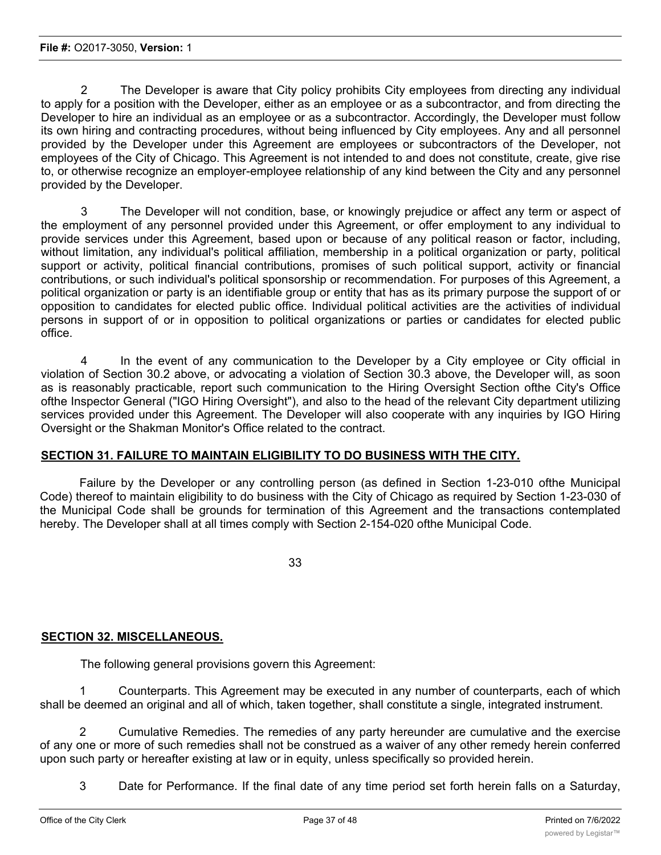2 The Developer is aware that City policy prohibits City employees from directing any individual to apply for a position with the Developer, either as an employee or as a subcontractor, and from directing the Developer to hire an individual as an employee or as a subcontractor. Accordingly, the Developer must follow its own hiring and contracting procedures, without being influenced by City employees. Any and all personnel provided by the Developer under this Agreement are employees or subcontractors of the Developer, not employees of the City of Chicago. This Agreement is not intended to and does not constitute, create, give rise to, or otherwise recognize an employer-employee relationship of any kind between the City and any personnel provided by the Developer.

3 The Developer will not condition, base, or knowingly prejudice or affect any term or aspect of the employment of any personnel provided under this Agreement, or offer employment to any individual to provide services under this Agreement, based upon or because of any political reason or factor, including, without limitation, any individual's political affiliation, membership in a political organization or party, political support or activity, political financial contributions, promises of such political support, activity or financial contributions, or such individual's political sponsorship or recommendation. For purposes of this Agreement, a political organization or party is an identifiable group or entity that has as its primary purpose the support of or opposition to candidates for elected public office. Individual political activities are the activities of individual persons in support of or in opposition to political organizations or parties or candidates for elected public office.

4 In the event of any communication to the Developer by a City employee or City official in violation of Section 30.2 above, or advocating a violation of Section 30.3 above, the Developer will, as soon as is reasonably practicable, report such communication to the Hiring Oversight Section ofthe City's Office ofthe Inspector General ("IGO Hiring Oversight"), and also to the head of the relevant City department utilizing services provided under this Agreement. The Developer will also cooperate with any inquiries by IGO Hiring Oversight or the Shakman Monitor's Office related to the contract.

## **SECTION 31. FAILURE TO MAINTAIN ELIGIBILITY TO DO BUSINESS WITH THE CITY.**

Failure by the Developer or any controlling person (as defined in Section 1-23-010 ofthe Municipal Code) thereof to maintain eligibility to do business with the City of Chicago as required by Section 1-23-030 of the Municipal Code shall be grounds for termination of this Agreement and the transactions contemplated hereby. The Developer shall at all times comply with Section 2-154-020 ofthe Municipal Code.

33

## **SECTION 32. MISCELLANEOUS.**

The following general provisions govern this Agreement:

1 Counterparts. This Agreement may be executed in any number of counterparts, each of which shall be deemed an original and all of which, taken together, shall constitute a single, integrated instrument.

2 Cumulative Remedies. The remedies of any party hereunder are cumulative and the exercise of any one or more of such remedies shall not be construed as a waiver of any other remedy herein conferred upon such party or hereafter existing at law or in equity, unless specifically so provided herein.

3 Date for Performance. If the final date of any time period set forth herein falls on a Saturday,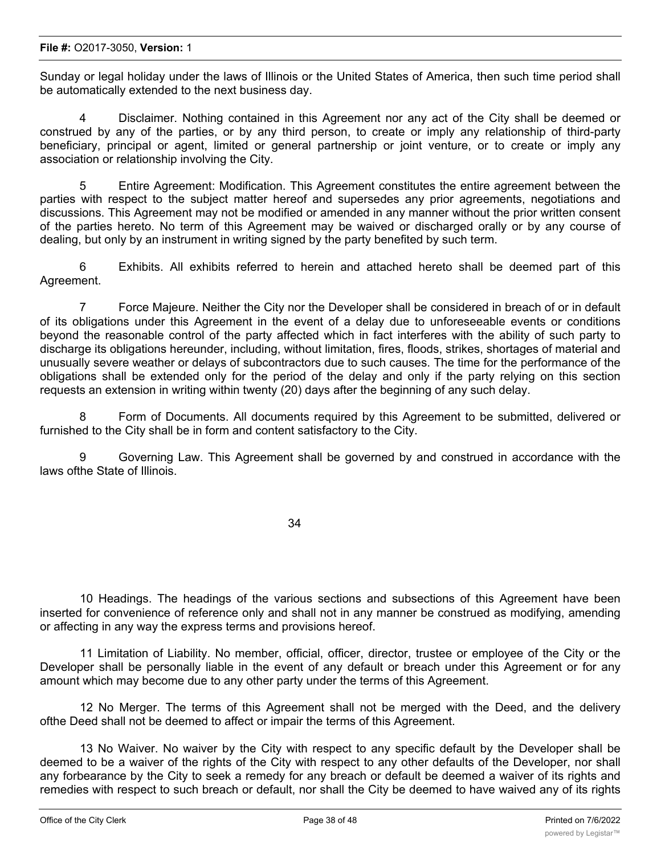#### **File #:** O2017-3050, **Version:** 1

Sunday or legal holiday under the laws of Illinois or the United States of America, then such time period shall be automatically extended to the next business day.

4 Disclaimer. Nothing contained in this Agreement nor any act of the City shall be deemed or construed by any of the parties, or by any third person, to create or imply any relationship of third-party beneficiary, principal or agent, limited or general partnership or joint venture, or to create or imply any association or relationship involving the City.

5 Entire Agreement: Modification. This Agreement constitutes the entire agreement between the parties with respect to the subject matter hereof and supersedes any prior agreements, negotiations and discussions. This Agreement may not be modified or amended in any manner without the prior written consent of the parties hereto. No term of this Agreement may be waived or discharged orally or by any course of dealing, but only by an instrument in writing signed by the party benefited by such term.

6 Exhibits. All exhibits referred to herein and attached hereto shall be deemed part of this Agreement.

7 Force Majeure. Neither the City nor the Developer shall be considered in breach of or in default of its obligations under this Agreement in the event of a delay due to unforeseeable events or conditions beyond the reasonable control of the party affected which in fact interferes with the ability of such party to discharge its obligations hereunder, including, without limitation, fires, floods, strikes, shortages of material and unusually severe weather or delays of subcontractors due to such causes. The time for the performance of the obligations shall be extended only for the period of the delay and only if the party relying on this section requests an extension in writing within twenty (20) days after the beginning of any such delay.

8 Form of Documents. All documents required by this Agreement to be submitted, delivered or furnished to the City shall be in form and content satisfactory to the City.

9 Governing Law. This Agreement shall be governed by and construed in accordance with the laws ofthe State of Illinois.

34

10 Headings. The headings of the various sections and subsections of this Agreement have been inserted for convenience of reference only and shall not in any manner be construed as modifying, amending or affecting in any way the express terms and provisions hereof.

11 Limitation of Liability. No member, official, officer, director, trustee or employee of the City or the Developer shall be personally liable in the event of any default or breach under this Agreement or for any amount which may become due to any other party under the terms of this Agreement.

12 No Merger. The terms of this Agreement shall not be merged with the Deed, and the delivery ofthe Deed shall not be deemed to affect or impair the terms of this Agreement.

13 No Waiver. No waiver by the City with respect to any specific default by the Developer shall be deemed to be a waiver of the rights of the City with respect to any other defaults of the Developer, nor shall any forbearance by the City to seek a remedy for any breach or default be deemed a waiver of its rights and remedies with respect to such breach or default, nor shall the City be deemed to have waived any of its rights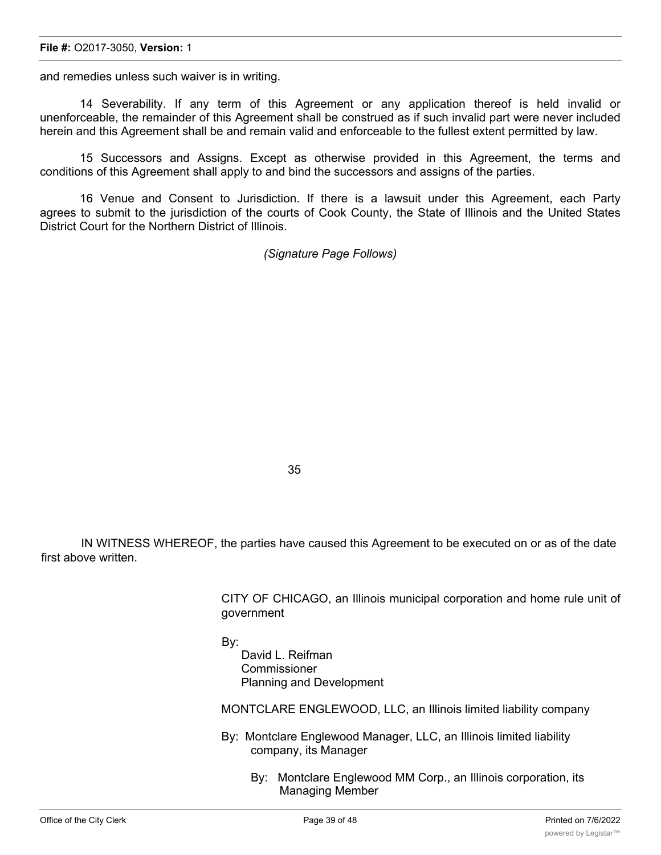#### **File #:** O2017-3050, **Version:** 1

and remedies unless such waiver is in writing.

14 Severability. If any term of this Agreement or any application thereof is held invalid or unenforceable, the remainder of this Agreement shall be construed as if such invalid part were never included herein and this Agreement shall be and remain valid and enforceable to the fullest extent permitted by law.

15 Successors and Assigns. Except as otherwise provided in this Agreement, the terms and conditions of this Agreement shall apply to and bind the successors and assigns of the parties.

16 Venue and Consent to Jurisdiction. If there is a lawsuit under this Agreement, each Party agrees to submit to the jurisdiction of the courts of Cook County, the State of Illinois and the United States District Court for the Northern District of Illinois.

*(Signature Page Follows)*

35

IN WITNESS WHEREOF, the parties have caused this Agreement to be executed on or as of the date first above written.

> CITY OF CHICAGO, an Illinois municipal corporation and home rule unit of government

By:

David L. Reifman **Commissioner** Planning and Development

MONTCLARE ENGLEWOOD, LLC, an Illinois limited liability company

- By: Montclare Englewood Manager, LLC, an Illinois limited liability company, its Manager
	- By: Montclare Englewood MM Corp., an Illinois corporation, its Managing Member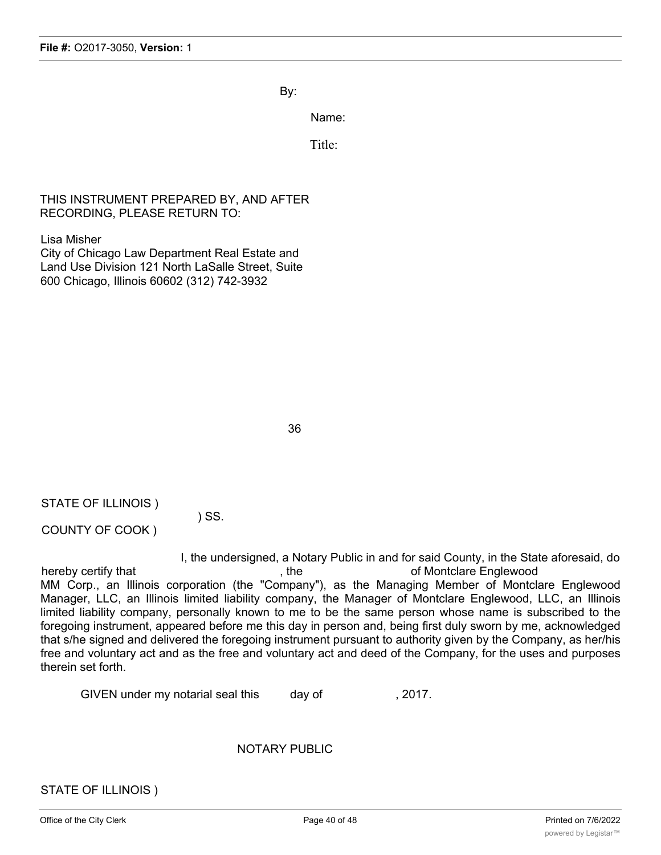By:

Name:

Title:

## THIS INSTRUMENT PREPARED BY, AND AFTER RECORDING, PLEASE RETURN TO:

Lisa Misher

City of Chicago Law Department Real Estate and Land Use Division 121 North LaSalle Street, Suite 600 Chicago, Illinois 60602 (312) 742-3932

36

STATE OF ILLINOIS )

COUNTY OF COOK )

I, the undersigned, a Notary Public in and for said County, in the State aforesaid, do hereby certify that the control of Montclare Englewood control of Montclare Englewood MM Corp., an Illinois corporation (the "Company"), as the Managing Member of Montclare Englewood Manager, LLC, an Illinois limited liability company, the Manager of Montclare Englewood, LLC, an Illinois limited liability company, personally known to me to be the same person whose name is subscribed to the foregoing instrument, appeared before me this day in person and, being first duly sworn by me, acknowledged that s/he signed and delivered the foregoing instrument pursuant to authority given by the Company, as her/his free and voluntary act and as the free and voluntary act and deed of the Company, for the uses and purposes therein set forth.

GIVEN under my notarial seal this day of 3017.

) SS.

NOTARY PUBLIC

STATE OF ILLINOIS )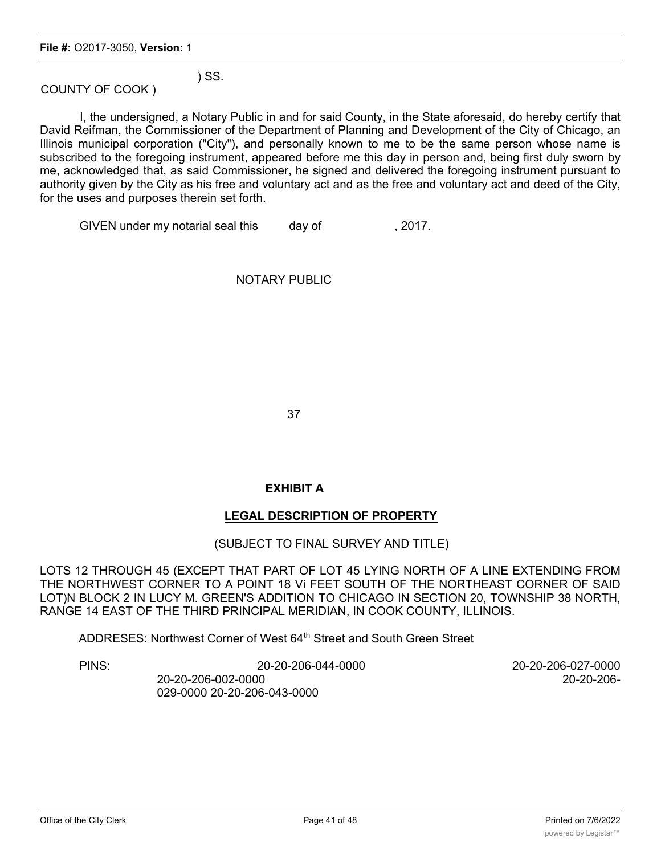) SS.

COUNTY OF COOK )

I, the undersigned, a Notary Public in and for said County, in the State aforesaid, do hereby certify that David Reifman, the Commissioner of the Department of Planning and Development of the City of Chicago, an Illinois municipal corporation ("City"), and personally known to me to be the same person whose name is subscribed to the foregoing instrument, appeared before me this day in person and, being first duly sworn by me, acknowledged that, as said Commissioner, he signed and delivered the foregoing instrument pursuant to authority given by the City as his free and voluntary act and as the free and voluntary act and deed of the City, for the uses and purposes therein set forth.

GIVEN under my notarial seal this day of 3017.

## NOTARY PUBLIC

37

## **EXHIBIT A**

## **LEGAL DESCRIPTION OF PROPERTY**

## (SUBJECT TO FINAL SURVEY AND TITLE)

LOTS 12 THROUGH 45 (EXCEPT THAT PART OF LOT 45 LYING NORTH OF A LINE EXTENDING FROM THE NORTHWEST CORNER TO A POINT 18 Vi FEET SOUTH OF THE NORTHEAST CORNER OF SAID LOT)N BLOCK 2 IN LUCY M. GREEN'S ADDITION TO CHICAGO IN SECTION 20, TOWNSHIP 38 NORTH, RANGE 14 EAST OF THE THIRD PRINCIPAL MERIDIAN, IN COOK COUNTY, ILLINOIS.

ADDRESES: Northwest Corner of West 64<sup>th</sup> Street and South Green Street

PINS: 20-20-206-044-0000 20-20-206-027-0000 20-20-206-002-0000 20-20-206- 029-0000 20-20-206-043-0000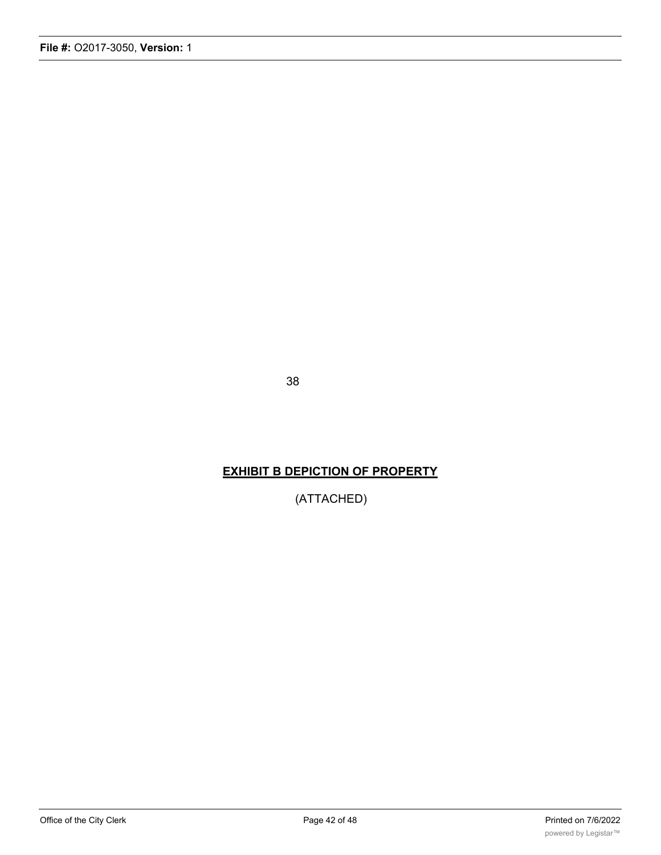38

## **EXHIBIT B DEPICTION OF PROPERTY**

(ATTACHED)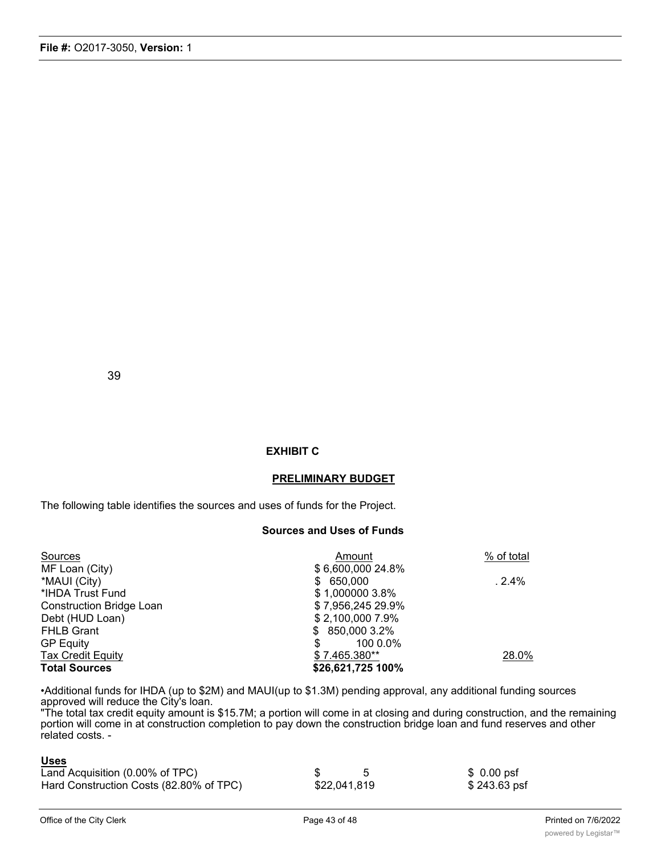### **EXHIBIT C**

#### **PRELIMINARY BUDGET**

The following table identifies the sources and uses of funds for the Project.

#### **Sources and Uses of Funds**

| Sources                         | Amount            | % of total |
|---------------------------------|-------------------|------------|
| MF Loan (City)                  | \$6,600,000 24.8% |            |
| *MAUI (City)                    | \$ 650,000        | .2.4%      |
| *IHDA Trust Fund                | \$1,000000 3.8%   |            |
| <b>Construction Bridge Loan</b> | \$7,956,245 29.9% |            |
| Debt (HUD Loan)                 | \$2,100,000 7.9%  |            |
| <b>FHLB Grant</b>               | $$850,0003.2\%$   |            |
| <b>GP Equity</b>                | 100 0.0%<br>\$    |            |
| <b>Tax Credit Equity</b>        | \$7.465.380**     | 28.0%      |
| <b>Total Sources</b>            | \$26,621,725 100% |            |

•Additional funds for IHDA (up to \$2M) and MAUI(up to \$1.3M) pending approval, any additional funding sources approved will reduce the City's loan.

"The total tax credit equity amount is \$15.7M; a portion will come in at closing and during construction, and the remaining portion will come in at construction completion to pay down the construction bridge loan and fund reserves and other related costs. -

#### **Uses**

| <u>uuu</u>                              |              |                     |
|-----------------------------------------|--------------|---------------------|
| Land Acquisition (0.00% of TPC)         |              | $$0.00 \text{ psf}$ |
| Hard Construction Costs (82.80% of TPC) | \$22,041,819 | \$243.63 psf        |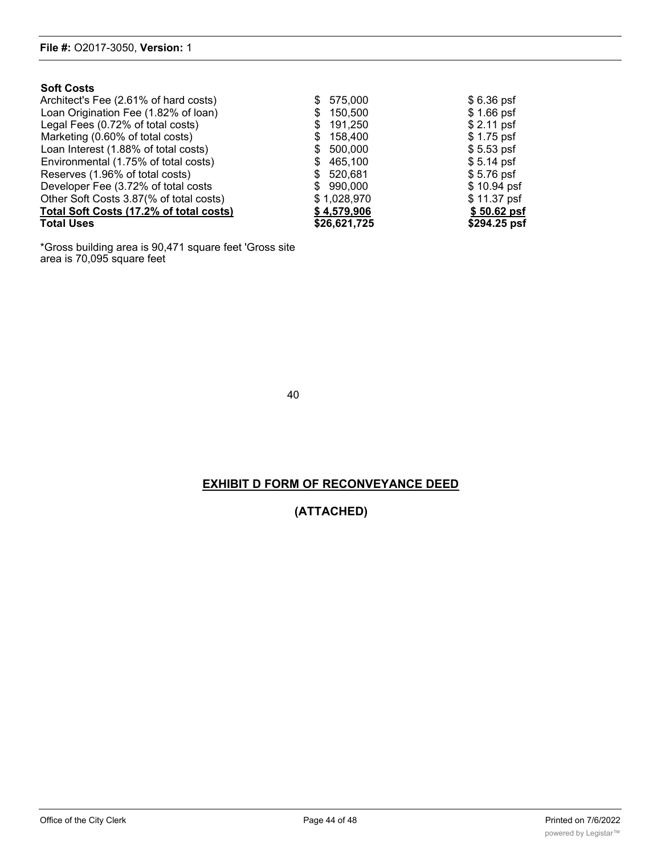### **Soft Costs**

| Total Uses                              | \$26,621,725  | \$294.25 psf |
|-----------------------------------------|---------------|--------------|
| Total Soft Costs (17.2% of total costs) | \$4,579,906   | \$50.62 psf  |
| Other Soft Costs 3.87(% of total costs) | \$1,028,970   | \$11.37 psf  |
| Developer Fee (3.72% of total costs     | \$990,000     | $$10.94$ psf |
| Reserves (1.96% of total costs)         | \$ 520,681    | $$5.76$ psf  |
| Environmental (1.75% of total costs)    | 465.100       | $$5.14$ psf  |
| Loan Interest (1.88% of total costs)    | \$ 500,000    | $$5.53$ psf  |
| Marketing (0.60% of total costs)        | 158.400<br>S. | $$1.75$ psf  |
| Legal Fees (0.72% of total costs)       | 191,250<br>\$ | $$2.11$ psf  |
| Loan Origination Fee (1.82% of loan)    | 150,500<br>S. | $$1.66$ psf  |
| Architect's Fee (2.61% of hard costs)   | \$575,000     | $$6.36$ psf  |

\*Gross building area is 90,471 square feet 'Gross site area is 70,095 square feet

40

## **EXHIBIT D FORM OF RECONVEYANCE DEED**

## **(ATTACHED)**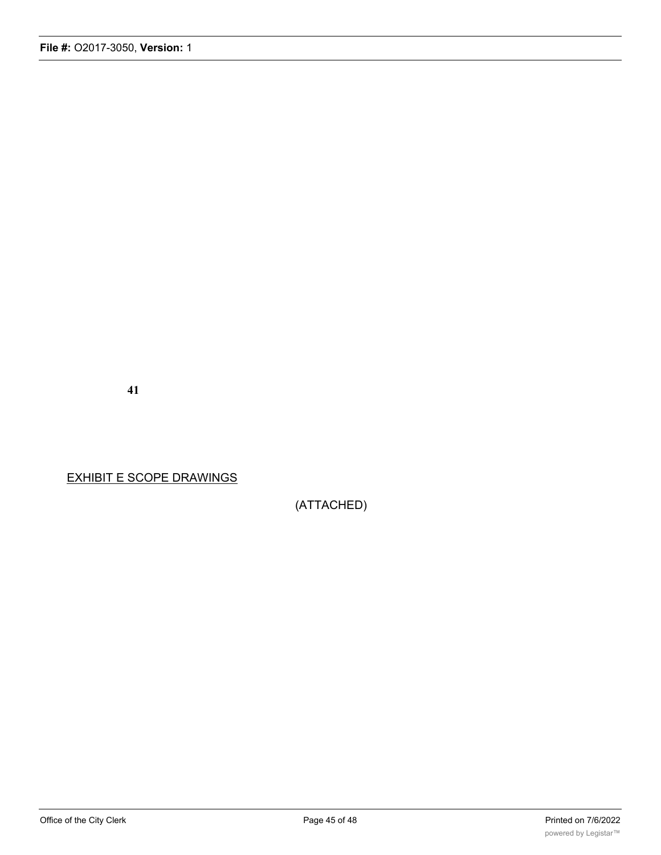**41**

EXHIBIT E SCOPE DRAWINGS

(ATTACHED)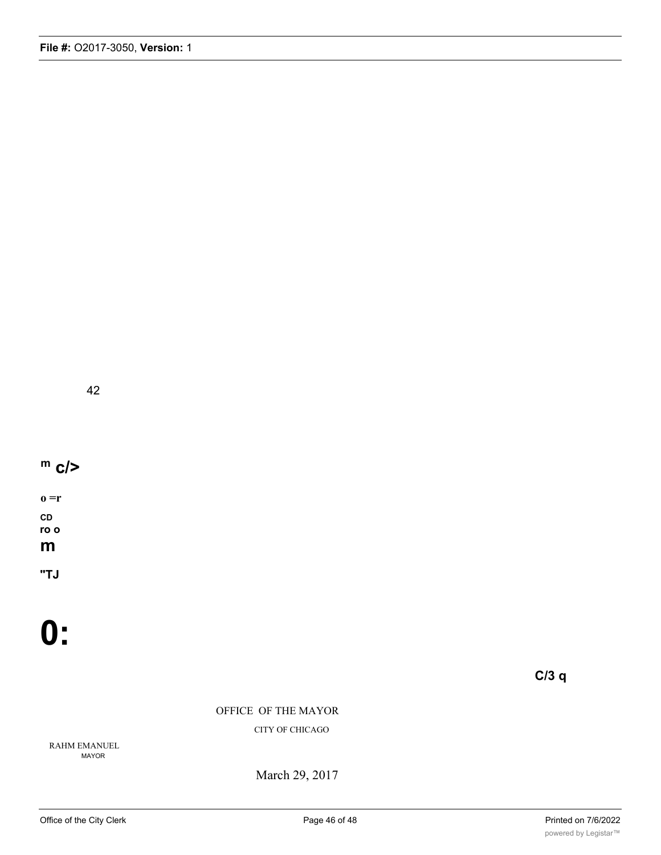42

# **m c/>**

**o =r CD ro o m**

**"TJ**

**0:**

**C/3 q**

OFFICE OF THE MAYOR

CITY OF CHICAGO

RAHM EMANUEL MAYOR

March 29, 2017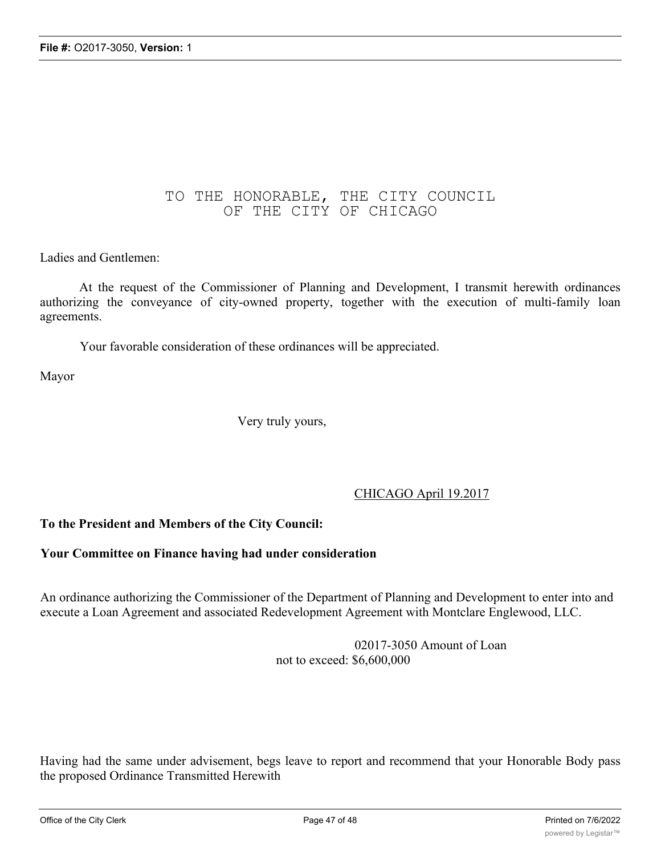## TO THE HONORABLE, THE CITY COUNCIL OF THE CITY OF CHICAGO

## Ladies and Gentlemen:

At the request of the Commissioner of Planning and Development, I transmit herewith ordinances authorizing the conveyance of city-owned property, together with the execution of multi-family loan agreements.

Your favorable consideration of these ordinances will be appreciated.

Mayor

Very truly yours,

## CHICAGO April 19.2017

## **To the President and Members of the City Council:**

### **Your Committee on Finance having had under consideration**

An ordinance authorizing the Commissioner of the Department of Planning and Development to enter into and execute a Loan Agreement and associated Redevelopment Agreement with Montclare Englewood, LLC.

> 02017-3050 Amount of Loan not to exceed: \$6,600,000

Having had the same under advisement, begs leave to report and recommend that your Honorable Body pass the proposed Ordinance Transmitted Herewith